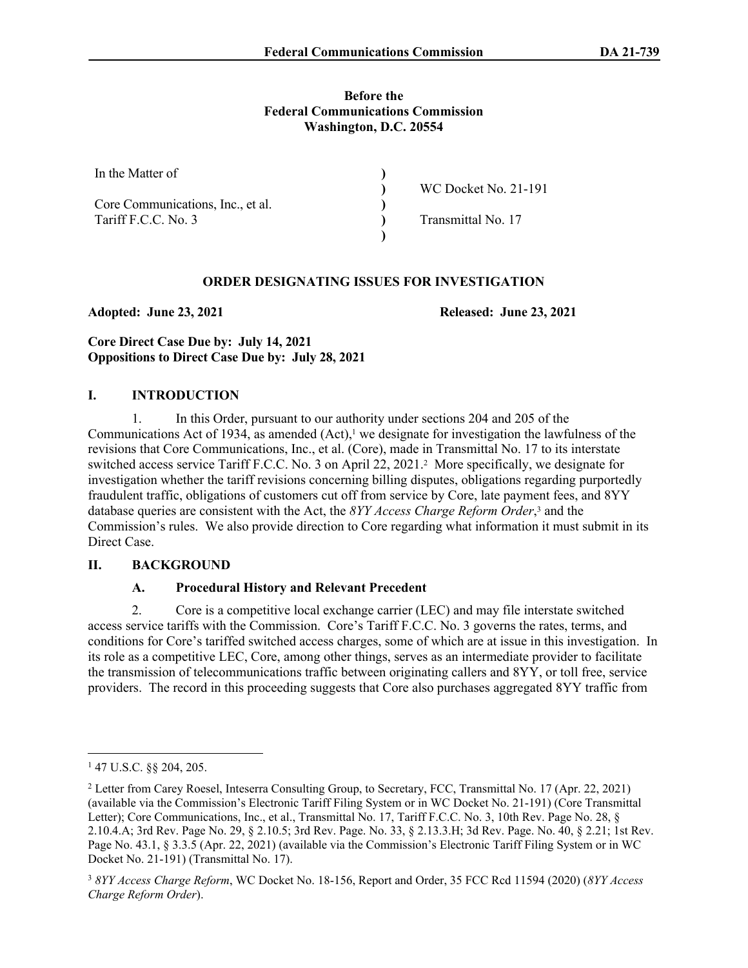#### **Before the Federal Communications Commission Washington, D.C. 20554**

| In the Matter of                  |                      |  |
|-----------------------------------|----------------------|--|
|                                   | WC Docket No. 21-191 |  |
| Core Communications, Inc., et al. |                      |  |
| Tariff F.C.C. No. 3               | Transmittal No. 17   |  |
|                                   |                      |  |

## **ORDER DESIGNATING ISSUES FOR INVESTIGATION**

**Adopted: June 23, 2021 Released: June 23, 2021**

# **Core Direct Case Due by: July 14, 2021 Oppositions to Direct Case Due by: July 28, 2021**

## **I. INTRODUCTION**

1. In this Order, pursuant to our authority under sections 204 and 205 of the Communications Act of 1934, as amended  $(Act)$ ,<sup>1</sup> we designate for investigation the lawfulness of the revisions that Core Communications, Inc., et al. (Core), made in Transmittal No. 17 to its interstate switched access service Tariff F.C.C. No. 3 on April 22, 2021.<sup>2</sup> More specifically, we designate for investigation whether the tariff revisions concerning billing disputes, obligations regarding purportedly fraudulent traffic, obligations of customers cut off from service by Core, late payment fees, and 8YY database queries are consistent with the Act, the *8YY Access Charge Reform Order*, 3 and the Commission's rules. We also provide direction to Core regarding what information it must submit in its Direct Case.

# **II. BACKGROUND**

# **A. Procedural History and Relevant Precedent**

2. Core is a competitive local exchange carrier (LEC) and may file interstate switched access service tariffs with the Commission. Core's Tariff F.C.C. No. 3 governs the rates, terms, and conditions for Core's tariffed switched access charges, some of which are at issue in this investigation. In its role as a competitive LEC, Core, among other things, serves as an intermediate provider to facilitate the transmission of telecommunications traffic between originating callers and 8YY, or toll free, service providers. The record in this proceeding suggests that Core also purchases aggregated 8YY traffic from

<sup>1</sup> 47 U.S.C. §§ 204, 205.

<sup>2</sup> Letter from Carey Roesel, Inteserra Consulting Group, to Secretary, FCC, Transmittal No. 17 (Apr. 22, 2021) (available via the Commission's Electronic Tariff Filing System or in WC Docket No. 21-191) (Core Transmittal Letter); Core Communications, Inc., et al., Transmittal No. 17, Tariff F.C.C. No. 3, 10th Rev. Page No. 28, § 2.10.4.A; 3rd Rev. Page No. 29, § 2.10.5; 3rd Rev. Page. No. 33, § 2.13.3.H; 3d Rev. Page. No. 40, § 2.21; 1st Rev. Page No. 43.1, § 3.3.5 (Apr. 22, 2021) (available via the Commission's Electronic Tariff Filing System or in WC Docket No. 21-191) (Transmittal No. 17).

<sup>3</sup> *8YY Access Charge Reform*, WC Docket No. 18-156, Report and Order, 35 FCC Rcd 11594 (2020) (*8YY Access Charge Reform Order*).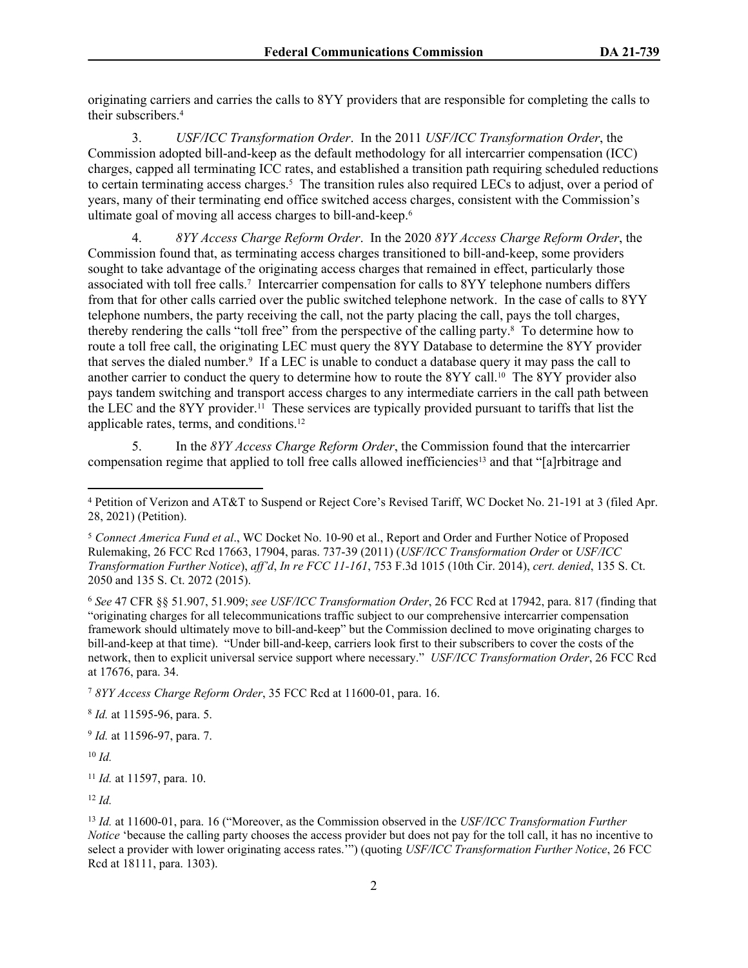originating carriers and carries the calls to 8YY providers that are responsible for completing the calls to their subscribers.<sup>4</sup>

3. *USF/ICC Transformation Order*. In the 2011 *USF/ICC Transformation Order*, the Commission adopted bill-and-keep as the default methodology for all intercarrier compensation (ICC) charges, capped all terminating ICC rates, and established a transition path requiring scheduled reductions to certain terminating access charges.<sup>5</sup> The transition rules also required LECs to adjust, over a period of years, many of their terminating end office switched access charges, consistent with the Commission's ultimate goal of moving all access charges to bill-and-keep.<sup>6</sup>

4. *8YY Access Charge Reform Order*. In the 2020 *8YY Access Charge Reform Order*, the Commission found that, as terminating access charges transitioned to bill-and-keep, some providers sought to take advantage of the originating access charges that remained in effect, particularly those associated with toll free calls.<sup>7</sup> Intercarrier compensation for calls to 8YY telephone numbers differs from that for other calls carried over the public switched telephone network. In the case of calls to 8YY telephone numbers, the party receiving the call, not the party placing the call, pays the toll charges, thereby rendering the calls "toll free" from the perspective of the calling party.<sup>8</sup> To determine how to route a toll free call, the originating LEC must query the 8YY Database to determine the 8YY provider that serves the dialed number.<sup>9</sup> If a LEC is unable to conduct a database query it may pass the call to another carrier to conduct the query to determine how to route the 8YY call.<sup>10</sup> The 8YY provider also pays tandem switching and transport access charges to any intermediate carriers in the call path between the LEC and the 8YY provider.11 These services are typically provided pursuant to tariffs that list the applicable rates, terms, and conditions.<sup>12</sup>

5. In the *8YY Access Charge Reform Order*, the Commission found that the intercarrier compensation regime that applied to toll free calls allowed inefficiencies13 and that "[a]rbitrage and

<sup>6</sup> *See* 47 CFR §§ 51.907, 51.909; *see USF/ICC Transformation Order*, 26 FCC Rcd at 17942, para. 817 (finding that "originating charges for all telecommunications traffic subject to our comprehensive intercarrier compensation framework should ultimately move to bill-and-keep" but the Commission declined to move originating charges to bill-and-keep at that time). "Under bill-and-keep, carriers look first to their subscribers to cover the costs of the network, then to explicit universal service support where necessary." *USF/ICC Transformation Order*, 26 FCC Rcd at 17676, para. 34.

<sup>7</sup> *8YY Access Charge Reform Order*, 35 FCC Rcd at 11600-01, para. 16.

8 *Id.* at 11595-96, para. 5.

9 *Id.* at 11596-97, para. 7.

<sup>10</sup> *Id.*

<sup>11</sup> *Id.* at 11597, para. 10.

<sup>12</sup> *Id.*

<sup>13</sup> *Id.* at 11600-01, para. 16 ("Moreover, as the Commission observed in the *USF/ICC Transformation Further Notice* 'because the calling party chooses the access provider but does not pay for the toll call, it has no incentive to select a provider with lower originating access rates.'") (quoting *USF/ICC Transformation Further Notice*, 26 FCC Rcd at 18111, para. 1303).

<sup>4</sup> Petition of Verizon and AT&T to Suspend or Reject Core's Revised Tariff, WC Docket No. 21-191 at 3 (filed Apr. 28, 2021) (Petition).

<sup>5</sup> *Connect America Fund et al*., WC Docket No. 10-90 et al., Report and Order and Further Notice of Proposed Rulemaking, 26 FCC Rcd 17663, 17904, paras. 737-39 (2011) (*USF/ICC Transformation Order* or *USF/ICC Transformation Further Notice*), *aff'd*, *In re FCC 11-161*, 753 F.3d 1015 (10th Cir. 2014), *cert. denied*, 135 S. Ct. 2050 and 135 S. Ct. 2072 (2015).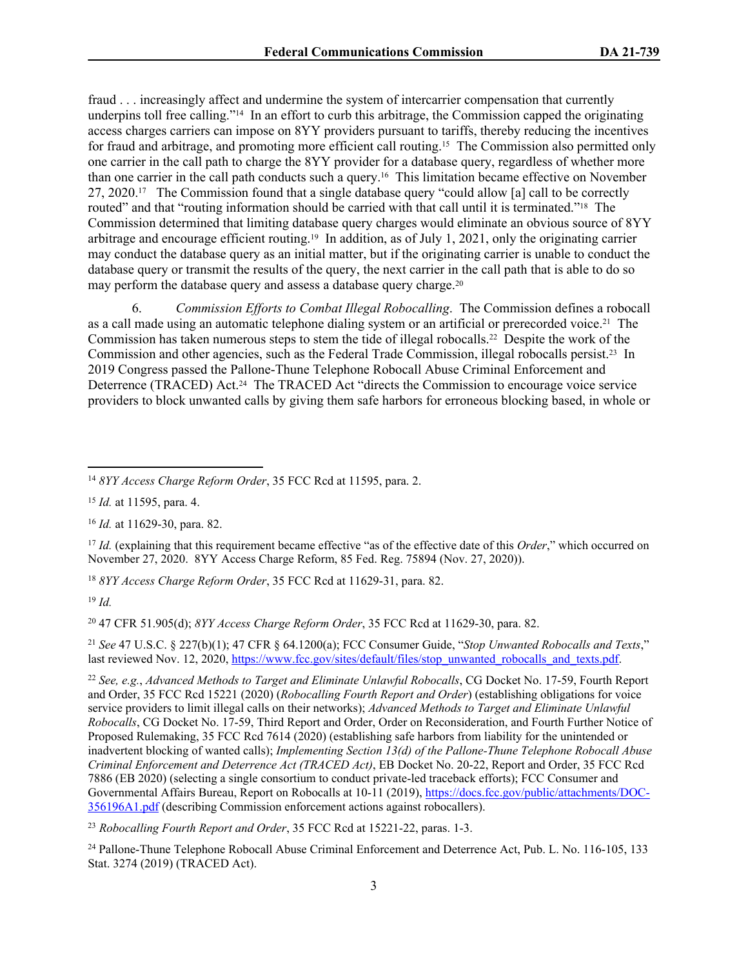fraud . . . increasingly affect and undermine the system of intercarrier compensation that currently underpins toll free calling."<sup>14</sup> In an effort to curb this arbitrage, the Commission capped the originating access charges carriers can impose on 8YY providers pursuant to tariffs, thereby reducing the incentives for fraud and arbitrage, and promoting more efficient call routing.15 The Commission also permitted only one carrier in the call path to charge the 8YY provider for a database query, regardless of whether more than one carrier in the call path conducts such a query.16 This limitation became effective on November 27, 2020.17 The Commission found that a single database query "could allow [a] call to be correctly routed" and that "routing information should be carried with that call until it is terminated."<sup>18</sup> The Commission determined that limiting database query charges would eliminate an obvious source of 8YY arbitrage and encourage efficient routing.19 In addition, as of July 1, 2021, only the originating carrier may conduct the database query as an initial matter, but if the originating carrier is unable to conduct the database query or transmit the results of the query, the next carrier in the call path that is able to do so may perform the database query and assess a database query charge.<sup>20</sup>

6. *Commission Efforts to Combat Illegal Robocalling*. The Commission defines a robocall as a call made using an automatic telephone dialing system or an artificial or prerecorded voice.21 The Commission has taken numerous steps to stem the tide of illegal robocalls.<sup>22</sup> Despite the work of the Commission and other agencies, such as the Federal Trade Commission, illegal robocalls persist.23 In 2019 Congress passed the Pallone-Thune Telephone Robocall Abuse Criminal Enforcement and Deterrence (TRACED) Act.<sup>24</sup> The TRACED Act "directs the Commission to encourage voice service providers to block unwanted calls by giving them safe harbors for erroneous blocking based, in whole or

<sup>15</sup> *Id.* at 11595, para. 4.

<sup>16</sup> *Id.* at 11629-30, para. 82.

<sup>17</sup> *Id.* (explaining that this requirement became effective "as of the effective date of this *Order*," which occurred on November 27, 2020. 8YY Access Charge Reform, 85 Fed. Reg. 75894 (Nov. 27, 2020)).

<sup>18</sup> *8YY Access Charge Reform Order*, 35 FCC Rcd at 11629-31, para. 82.

<sup>19</sup> *Id.*

<sup>20</sup> 47 CFR 51.905(d); *8YY Access Charge Reform Order*, 35 FCC Rcd at 11629-30, para. 82.

<sup>21</sup> *See* 47 U.S.C. § 227(b)(1); 47 CFR § 64.1200(a); FCC Consumer Guide, "*Stop Unwanted Robocalls and Texts*," last reviewed Nov. 12, 2020, [https://www.fcc.gov/sites/default/files/stop\\_unwanted\\_robocalls\\_and\\_texts.pdf.](https://www.fcc.gov/sites/default/files/stop_unwanted_robocalls_and_texts.pdf)

<sup>23</sup> *Robocalling Fourth Report and Order*, 35 FCC Rcd at 15221-22, paras. 1-3.

<sup>24</sup> Pallone-Thune Telephone Robocall Abuse Criminal Enforcement and Deterrence Act, Pub. L. No. 116-105, 133 Stat. 3274 (2019) (TRACED Act).

<sup>14</sup> *8YY Access Charge Reform Order*, 35 FCC Rcd at 11595, para. 2.

<sup>22</sup> *See, e.g.*, *Advanced Methods to Target and Eliminate Unlawful Robocalls*, CG Docket No. 17-59, Fourth Report and Order, 35 FCC Rcd 15221 (2020) (*Robocalling Fourth Report and Order*) (establishing obligations for voice service providers to limit illegal calls on their networks); *Advanced Methods to Target and Eliminate Unlawful Robocalls*, CG Docket No. 17-59, Third Report and Order, Order on Reconsideration, and Fourth Further Notice of Proposed Rulemaking, 35 FCC Rcd 7614 (2020) (establishing safe harbors from liability for the unintended or inadvertent blocking of wanted calls); *Implementing Section 13(d) of the Pallone-Thune Telephone Robocall Abuse Criminal Enforcement and Deterrence Act (TRACED Act)*, EB Docket No. 20-22, Report and Order, 35 FCC Rcd 7886 (EB 2020) (selecting a single consortium to conduct private-led traceback efforts); FCC Consumer and Governmental Affairs Bureau, Report on Robocalls at 10-11 (2019), [https://docs.fcc.gov/public/attachments/DOC-](https://docs.fcc.gov/public/attachments/DOC-356196A1.pdf)[356196A1.pdf](https://docs.fcc.gov/public/attachments/DOC-356196A1.pdf) (describing Commission enforcement actions against robocallers).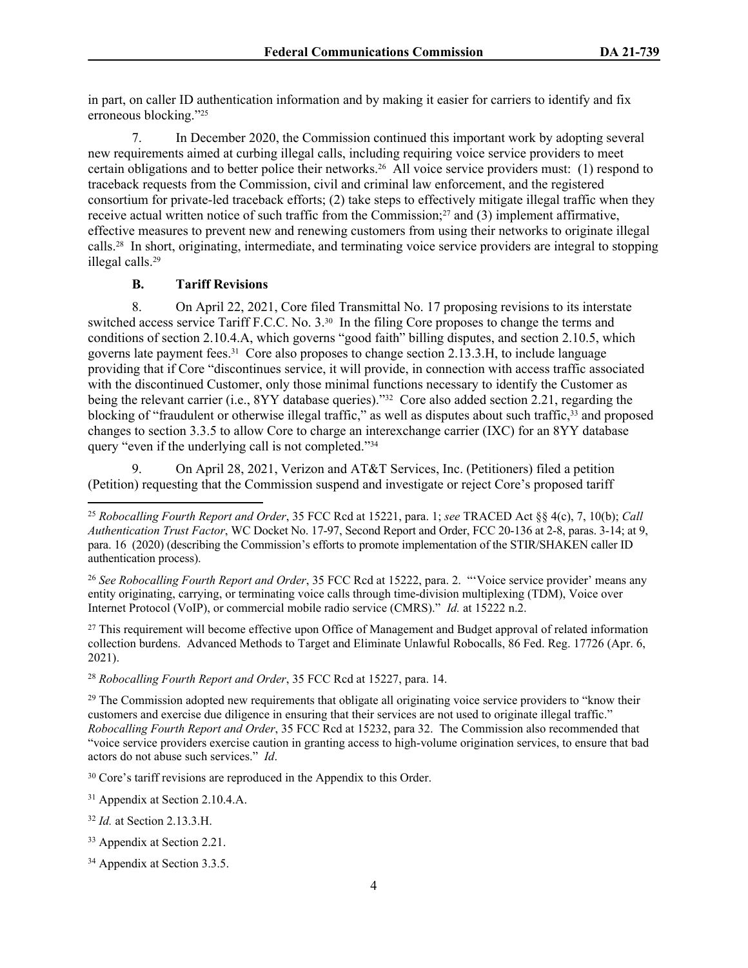in part, on caller ID authentication information and by making it easier for carriers to identify and fix erroneous blocking."<sup>25</sup>

7. In December 2020, the Commission continued this important work by adopting several new requirements aimed at curbing illegal calls, including requiring voice service providers to meet certain obligations and to better police their networks.26 All voice service providers must: (1) respond to traceback requests from the Commission, civil and criminal law enforcement, and the registered consortium for private-led traceback efforts; (2) take steps to effectively mitigate illegal traffic when they receive actual written notice of such traffic from the Commission;27 and (3) implement affirmative, effective measures to prevent new and renewing customers from using their networks to originate illegal calls.28 In short, originating, intermediate, and terminating voice service providers are integral to stopping illegal calls.<sup>29</sup>

## **B. Tariff Revisions**

8. On April 22, 2021, Core filed Transmittal No. 17 proposing revisions to its interstate switched access service Tariff F.C.C. No. 3.30 In the filing Core proposes to change the terms and conditions of section 2.10.4.A, which governs "good faith" billing disputes, and section 2.10.5, which governs late payment fees.31 Core also proposes to change section 2.13.3.H, to include language providing that if Core "discontinues service, it will provide, in connection with access traffic associated with the discontinued Customer, only those minimal functions necessary to identify the Customer as being the relevant carrier (i.e., 8YY database queries)."<sup>32</sup> Core also added section 2.21, regarding the blocking of "fraudulent or otherwise illegal traffic," as well as disputes about such traffic, <sup>33</sup> and proposed changes to section 3.3.5 to allow Core to charge an interexchange carrier (IXC) for an 8YY database query "even if the underlying call is not completed."<sup>34</sup>

9. On April 28, 2021, Verizon and AT&T Services, Inc. (Petitioners) filed a petition (Petition) requesting that the Commission suspend and investigate or reject Core's proposed tariff

<sup>27</sup> This requirement will become effective upon Office of Management and Budget approval of related information collection burdens. Advanced Methods to Target and Eliminate Unlawful Robocalls, 86 Fed. Reg. 17726 (Apr. 6, 2021).

<sup>28</sup> *Robocalling Fourth Report and Order*, 35 FCC Rcd at 15227, para. 14.

<sup>29</sup> The Commission adopted new requirements that obligate all originating voice service providers to "know their customers and exercise due diligence in ensuring that their services are not used to originate illegal traffic." *Robocalling Fourth Report and Order*, 35 FCC Rcd at 15232, para 32. The Commission also recommended that "voice service providers exercise caution in granting access to high-volume origination services, to ensure that bad actors do not abuse such services." *Id*.

<sup>30</sup> Core's tariff revisions are reproduced in the Appendix to this Order.

<sup>31</sup> Appendix at Section 2.10.4.A.

<sup>32</sup> *Id.* at Section 2.13.3.H.

<sup>25</sup> *Robocalling Fourth Report and Order*, 35 FCC Rcd at 15221, para. 1; *see* TRACED Act §§ 4(c), 7, 10(b); *Call Authentication Trust Factor*, WC Docket No. 17-97, Second Report and Order, FCC 20-136 at 2-8, paras. 3-14; at 9, para. 16 (2020) (describing the Commission's efforts to promote implementation of the STIR/SHAKEN caller ID authentication process).

<sup>26</sup> *See Robocalling Fourth Report and Order*, 35 FCC Rcd at 15222, para. 2. "'Voice service provider' means any entity originating, carrying, or terminating voice calls through time-division multiplexing (TDM), Voice over Internet Protocol (VoIP), or commercial mobile radio service (CMRS)." *Id.* at 15222 n.2.

<sup>33</sup> Appendix at Section 2.21.

<sup>34</sup> Appendix at Section 3.3.5.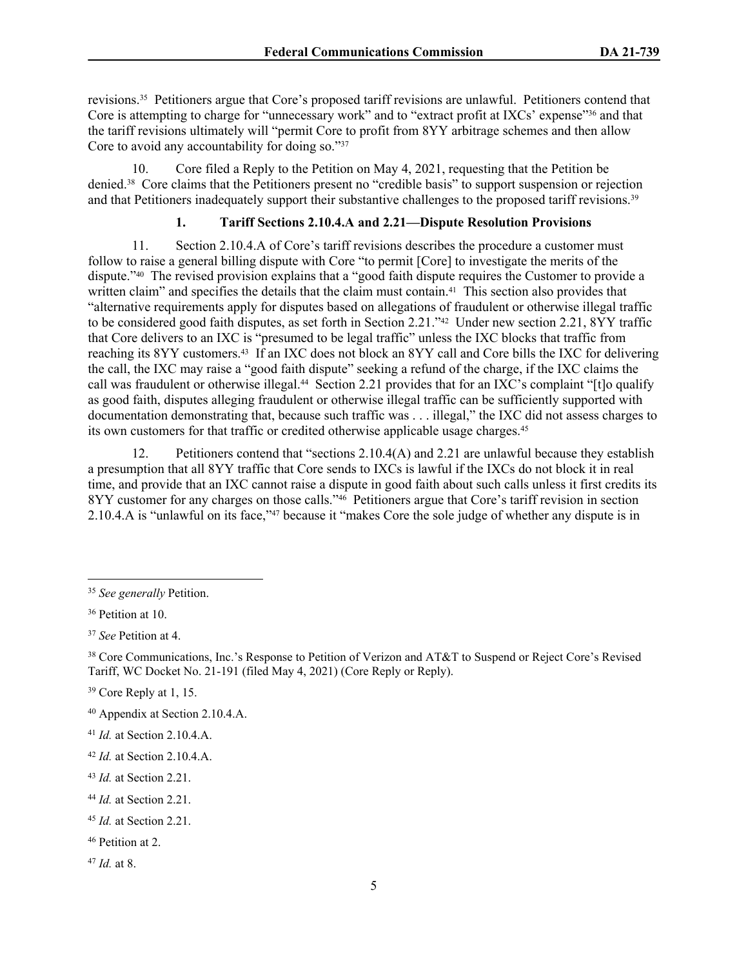revisions.35 Petitioners argue that Core's proposed tariff revisions are unlawful. Petitioners contend that Core is attempting to charge for "unnecessary work" and to "extract profit at IXCs' expense"36 and that the tariff revisions ultimately will "permit Core to profit from 8YY arbitrage schemes and then allow Core to avoid any accountability for doing so."37

10. Core filed a Reply to the Petition on May 4, 2021, requesting that the Petition be denied.38 Core claims that the Petitioners present no "credible basis" to support suspension or rejection and that Petitioners inadequately support their substantive challenges to the proposed tariff revisions.<sup>39</sup>

# **1. Tariff Sections 2.10.4.A and 2.21—Dispute Resolution Provisions**

11. Section 2.10.4.A of Core's tariff revisions describes the procedure a customer must follow to raise a general billing dispute with Core "to permit [Core] to investigate the merits of the dispute."40 The revised provision explains that a "good faith dispute requires the Customer to provide a written claim" and specifies the details that the claim must contain.<sup>41</sup> This section also provides that "alternative requirements apply for disputes based on allegations of fraudulent or otherwise illegal traffic to be considered good faith disputes, as set forth in Section 2.21."42 Under new section 2.21, 8YY traffic that Core delivers to an IXC is "presumed to be legal traffic" unless the IXC blocks that traffic from reaching its 8YY customers.43 If an IXC does not block an 8YY call and Core bills the IXC for delivering the call, the IXC may raise a "good faith dispute" seeking a refund of the charge, if the IXC claims the call was fraudulent or otherwise illegal.44 Section 2.21 provides that for an IXC's complaint "[t]o qualify as good faith, disputes alleging fraudulent or otherwise illegal traffic can be sufficiently supported with documentation demonstrating that, because such traffic was . . . illegal," the IXC did not assess charges to its own customers for that traffic or credited otherwise applicable usage charges.<sup>45</sup>

12. Petitioners contend that "sections 2.10.4(A) and 2.21 are unlawful because they establish a presumption that all 8YY traffic that Core sends to IXCs is lawful if the IXCs do not block it in real time, and provide that an IXC cannot raise a dispute in good faith about such calls unless it first credits its 8YY customer for any charges on those calls."<sup>46</sup> Petitioners argue that Core's tariff revision in section 2.10.4.A is "unlawful on its face,"47 because it "makes Core the sole judge of whether any dispute is in

<sup>43</sup> *Id.* at Section 2.21.

<sup>47</sup> *Id.* at 8.

<sup>35</sup> *See generally* Petition.

<sup>36</sup> Petition at 10.

<sup>37</sup> *See* Petition at 4.

<sup>38</sup> Core Communications, Inc.'s Response to Petition of Verizon and AT&T to Suspend or Reject Core's Revised Tariff, WC Docket No. 21-191 (filed May 4, 2021) (Core Reply or Reply).

<sup>39</sup> Core Reply at 1, 15.

<sup>40</sup> Appendix at Section 2.10.4.A.

<sup>41</sup> *Id.* at Section 2.10.4.A.

<sup>42</sup> *Id.* at Section 2.10.4.A.

<sup>44</sup> *Id.* at Section 2.21.

<sup>45</sup> *Id.* at Section 2.21.

<sup>46</sup> Petition at 2.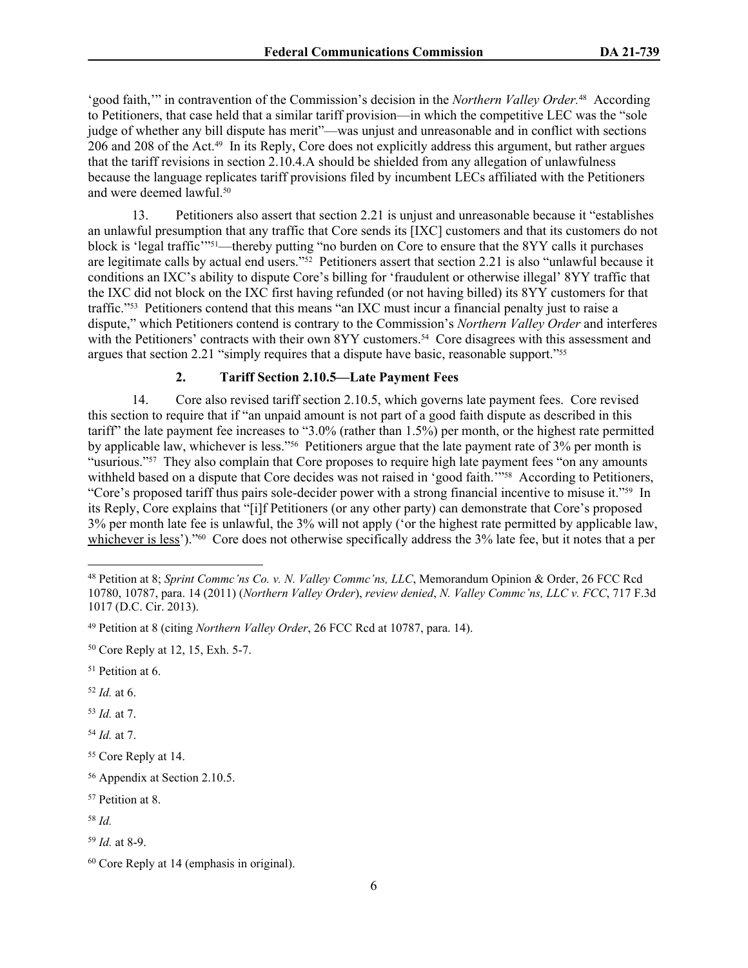'good faith," in contravention of the Commission's decision in the *Northern Valley Order*.<sup>48</sup> According to Petitioners, that case held that a similar tariff provision—in which the competitive LEC was the "sole judge of whether any bill dispute has merit"—was unjust and unreasonable and in conflict with sections 206 and 208 of the Act.49 In its Reply, Core does not explicitly address this argument, but rather argues that the tariff revisions in section 2.10.4.A should be shielded from any allegation of unlawfulness because the language replicates tariff provisions filed by incumbent LECs affiliated with the Petitioners and were deemed lawful.<sup>50</sup>

13. Petitioners also assert that section 2.21 is unjust and unreasonable because it "establishes an unlawful presumption that any traffic that Core sends its [IXC] customers and that its customers do not block is 'legal traffic'"51—thereby putting "no burden on Core to ensure that the 8YY calls it purchases are legitimate calls by actual end users."52 Petitioners assert that section 2.21 is also "unlawful because it conditions an IXC's ability to dispute Core's billing for 'fraudulent or otherwise illegal' 8YY traffic that the IXC did not block on the IXC first having refunded (or not having billed) its 8YY customers for that traffic."53 Petitioners contend that this means "an IXC must incur a financial penalty just to raise a dispute," which Petitioners contend is contrary to the Commission's *Northern Valley Order* and interferes with the Petitioners' contracts with their own 8YY customers.<sup>54</sup> Core disagrees with this assessment and argues that section 2.21 "simply requires that a dispute have basic, reasonable support."<sup>55</sup>

## **2. Tariff Section 2.10.5—Late Payment Fees**

14. Core also revised tariff section 2.10.5, which governs late payment fees. Core revised this section to require that if "an unpaid amount is not part of a good faith dispute as described in this tariff" the late payment fee increases to "3.0% (rather than 1.5%) per month, or the highest rate permitted by applicable law, whichever is less."56 Petitioners argue that the late payment rate of 3% per month is "usurious."<sup>57</sup> They also complain that Core proposes to require high late payment fees "on any amounts" withheld based on a dispute that Core decides was not raised in 'good faith.<sup>'"58</sup> According to Petitioners, "Core's proposed tariff thus pairs sole-decider power with a strong financial incentive to misuse it."59 In its Reply, Core explains that "[i]f Petitioners (or any other party) can demonstrate that Core's proposed 3% per month late fee is unlawful, the 3% will not apply ('or the highest rate permitted by applicable law, whichever is less')."<sup>60</sup> Core does not otherwise specifically address the 3% late fee, but it notes that a per

<sup>52</sup> *Id.* at 6.

<sup>53</sup> *Id.* at 7.

<sup>54</sup> *Id.* at 7.

<sup>48</sup> Petition at 8; *Sprint Commc'ns Co. v. N. Valley Commc'ns, LLC*, Memorandum Opinion & Order, 26 FCC Rcd 10780, 10787, para. 14 (2011) (*Northern Valley Order*), *review denied*, *N. Valley Commc'ns, LLC v. FCC*, 717 F.3d 1017 (D.C. Cir. 2013).

<sup>49</sup> Petition at 8 (citing *Northern Valley Order*, 26 FCC Rcd at 10787, para. 14).

<sup>50</sup> Core Reply at 12, 15, Exh. 5-7.

<sup>51</sup> Petition at 6.

<sup>55</sup> Core Reply at 14.

<sup>56</sup> Appendix at Section 2.10.5.

<sup>57</sup> Petition at 8.

<sup>58</sup> *Id.*

<sup>59</sup> *Id.* at 8-9.

<sup>60</sup> Core Reply at 14 (emphasis in original).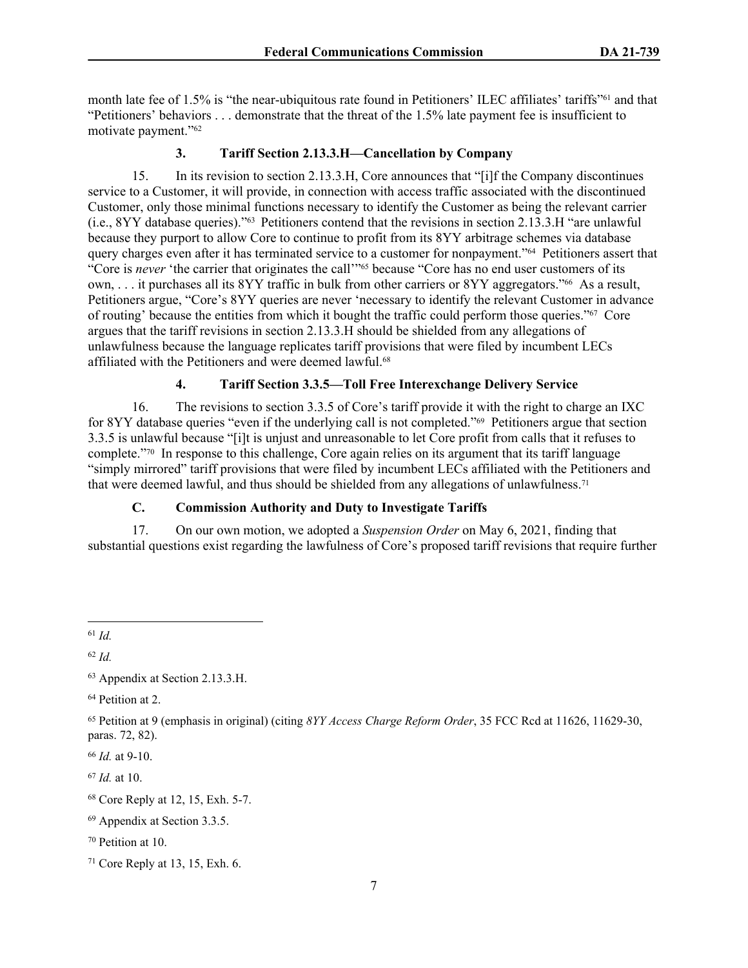month late fee of 1.5% is "the near-ubiquitous rate found in Petitioners' ILEC affiliates' tariffs"61 and that "Petitioners' behaviors . . . demonstrate that the threat of the 1.5% late payment fee is insufficient to motivate payment."<sup>62</sup>

## **3. Tariff Section 2.13.3.H—Cancellation by Company**

15. In its revision to section 2.13.3.H, Core announces that "[i]f the Company discontinues service to a Customer, it will provide, in connection with access traffic associated with the discontinued Customer, only those minimal functions necessary to identify the Customer as being the relevant carrier (i.e., 8YY database queries)."63 Petitioners contend that the revisions in section 2.13.3.H "are unlawful because they purport to allow Core to continue to profit from its 8YY arbitrage schemes via database query charges even after it has terminated service to a customer for nonpayment."64 Petitioners assert that "Core is *never* 'the carrier that originates the call'"<sup>65</sup> because "Core has no end user customers of its own, . . . it purchases all its 8YY traffic in bulk from other carriers or 8YY aggregators."66 As a result, Petitioners argue, "Core's 8YY queries are never 'necessary to identify the relevant Customer in advance of routing' because the entities from which it bought the traffic could perform those queries."67 Core argues that the tariff revisions in section 2.13.3.H should be shielded from any allegations of unlawfulness because the language replicates tariff provisions that were filed by incumbent LECs affiliated with the Petitioners and were deemed lawful.<sup>68</sup>

# **4. Tariff Section 3.3.5—Toll Free Interexchange Delivery Service**

16. The revisions to section 3.3.5 of Core's tariff provide it with the right to charge an IXC for 8YY database queries "even if the underlying call is not completed."69 Petitioners argue that section 3.3.5 is unlawful because "[i]t is unjust and unreasonable to let Core profit from calls that it refuses to complete."70 In response to this challenge, Core again relies on its argument that its tariff language "simply mirrored" tariff provisions that were filed by incumbent LECs affiliated with the Petitioners and that were deemed lawful, and thus should be shielded from any allegations of unlawfulness.<sup>71</sup>

# **C. Commission Authority and Duty to Investigate Tariffs**

17. On our own motion, we adopted a *Suspension Order* on May 6, 2021, finding that substantial questions exist regarding the lawfulness of Core's proposed tariff revisions that require further

<sup>62</sup> *Id.*

<sup>64</sup> Petition at 2.

<sup>67</sup> *Id.* at 10.

<sup>61</sup> *Id.*

<sup>63</sup> Appendix at Section 2.13.3.H.

<sup>65</sup> Petition at 9 (emphasis in original) (citing *8YY Access Charge Reform Order*, 35 FCC Rcd at 11626, 11629-30, paras. 72, 82).

<sup>66</sup> *Id.* at 9-10.

<sup>68</sup> Core Reply at 12, 15, Exh. 5-7.

<sup>69</sup> Appendix at Section 3.3.5.

<sup>70</sup> Petition at 10.

<sup>71</sup> Core Reply at 13, 15, Exh. 6.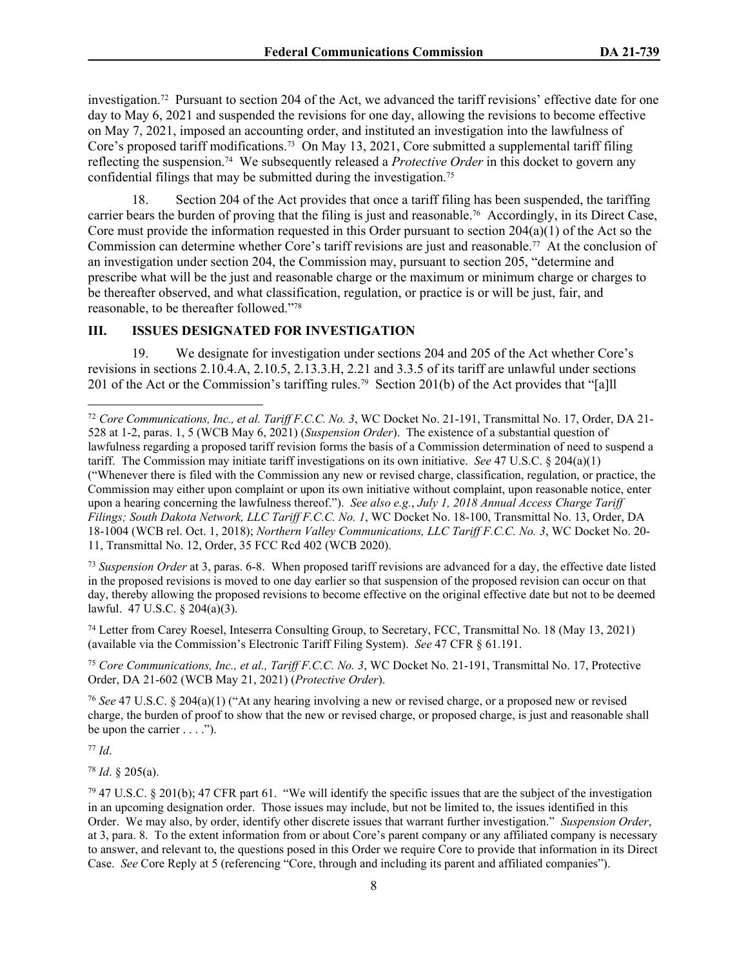investigation.72 Pursuant to section 204 of the Act, we advanced the tariff revisions' effective date for one day to May 6, 2021 and suspended the revisions for one day, allowing the revisions to become effective on May 7, 2021, imposed an accounting order, and instituted an investigation into the lawfulness of Core's proposed tariff modifications.<sup>73</sup> On May 13, 2021, Core submitted a supplemental tariff filing reflecting the suspension.74 We subsequently released a *Protective Order* in this docket to govern any confidential filings that may be submitted during the investigation.<sup>75</sup>

18. Section 204 of the Act provides that once a tariff filing has been suspended, the tariffing carrier bears the burden of proving that the filing is just and reasonable.76 Accordingly, in its Direct Case, Core must provide the information requested in this Order pursuant to section  $204(a)(1)$  of the Act so the Commission can determine whether Core's tariff revisions are just and reasonable.77 At the conclusion of an investigation under section 204, the Commission may, pursuant to section 205, "determine and prescribe what will be the just and reasonable charge or the maximum or minimum charge or charges to be thereafter observed, and what classification, regulation, or practice is or will be just, fair, and reasonable, to be thereafter followed."<sup>78</sup>

## **III. ISSUES DESIGNATED FOR INVESTIGATION**

19. We designate for investigation under sections 204 and 205 of the Act whether Core's revisions in sections 2.10.4.A, 2.10.5, 2.13.3.H, 2.21 and 3.3.5 of its tariff are unlawful under sections 201 of the Act or the Commission's tariffing rules.79 Section 201(b) of the Act provides that "[a]ll

<sup>73</sup> *Suspension Order* at 3, paras. 6-8. When proposed tariff revisions are advanced for a day, the effective date listed in the proposed revisions is moved to one day earlier so that suspension of the proposed revision can occur on that day, thereby allowing the proposed revisions to become effective on the original effective date but not to be deemed lawful. 47 U.S.C. § 204(a)(3).

<sup>74</sup> Letter from Carey Roesel, Inteserra Consulting Group, to Secretary, FCC, Transmittal No. 18 (May 13, 2021) (available via the Commission's Electronic Tariff Filing System). *See* 47 CFR § 61.191.

<sup>75</sup> *Core Communications, Inc., et al., Tariff F.C.C. No. 3*, WC Docket No. 21-191, Transmittal No. 17, Protective Order, DA 21-602 (WCB May 21, 2021) (*Protective Order*).

<sup>76</sup> *See* 47 U.S.C. § 204(a)(1) ("At any hearing involving a new or revised charge, or a proposed new or revised charge, the burden of proof to show that the new or revised charge, or proposed charge, is just and reasonable shall be upon the carrier  $\dots$ .").

<sup>77</sup> *Id*.

<sup>78</sup> *Id*. § 205(a).

<sup>72</sup> *Core Communications, Inc., et al. Tariff F.C.C. No. 3*, WC Docket No. 21-191, Transmittal No. 17, Order, DA 21- 528 at 1-2, paras. 1, 5 (WCB May 6, 2021) (*Suspension Order*). The existence of a substantial question of lawfulness regarding a proposed tariff revision forms the basis of a Commission determination of need to suspend a tariff. The Commission may initiate tariff investigations on its own initiative. *See* 47 U.S.C. § 204(a)(1) ("Whenever there is filed with the Commission any new or revised charge, classification, regulation, or practice, the Commission may either upon complaint or upon its own initiative without complaint, upon reasonable notice, enter upon a hearing concerning the lawfulness thereof."). *See also e.g.*, *July 1, 2018 Annual Access Charge Tariff Filings; South Dakota Network, LLC Tariff F.C.C. No. 1*, WC Docket No. 18-100, Transmittal No. 13, Order, DA 18-1004 (WCB rel. Oct. 1, 2018); *Northern Valley Communications, LLC Tariff F.C.C. No. 3*, WC Docket No. 20- 11, Transmittal No. 12, Order, 35 FCC Rcd 402 (WCB 2020).

<sup>79</sup> 47 U.S.C. § 201(b); 47 CFR part 61. "We will identify the specific issues that are the subject of the investigation in an upcoming designation order. Those issues may include, but not be limited to, the issues identified in this Order. We may also, by order, identify other discrete issues that warrant further investigation." *Suspension Order*, at 3, para. 8. To the extent information from or about Core's parent company or any affiliated company is necessary to answer, and relevant to, the questions posed in this Order we require Core to provide that information in its Direct Case. *See* Core Reply at 5 (referencing "Core, through and including its parent and affiliated companies").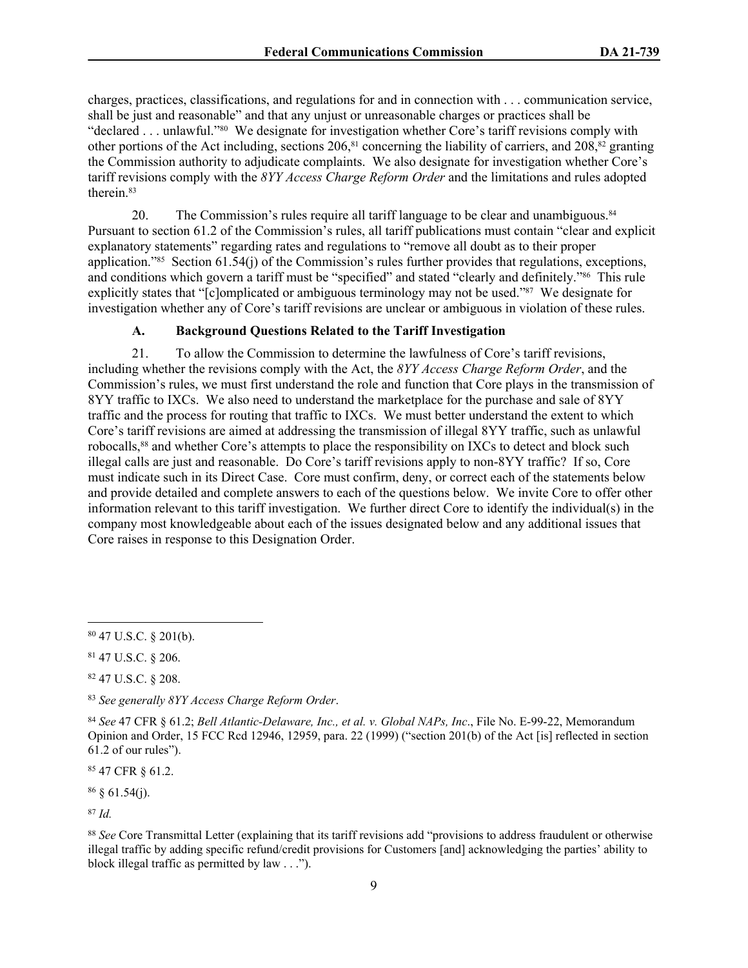charges, practices, classifications, and regulations for and in connection with . . . communication service, shall be just and reasonable" and that any unjust or unreasonable charges or practices shall be "declared . . . unlawful."80 We designate for investigation whether Core's tariff revisions comply with other portions of the Act including, sections  $206$ ,<sup>81</sup> concerning the liability of carriers, and  $208$ ,<sup>82</sup> granting the Commission authority to adjudicate complaints. We also designate for investigation whether Core's tariff revisions comply with the *8YY Access Charge Reform Order* and the limitations and rules adopted therein.<sup>83</sup>

20. The Commission's rules require all tariff language to be clear and unambiguous.<sup>84</sup> Pursuant to section 61.2 of the Commission's rules, all [tariff](https://www.law.cornell.edu/definitions/index.php?width=840&height=800&iframe=true&def_id=34f55a75ce64a1f8ecbef276793baba0&term_occur=999&term_src=Title:47:Chapter:I:Subchapter:B:Part:61:Subpart:A:61.2) publications must contain "clear and explicit explanatory statements" regarding [rates](https://www.law.cornell.edu/definitions/index.php?width=840&height=800&iframe=true&def_id=bb09e4866f205196a894c8c039d37bca&term_occur=999&term_src=Title:47:Chapter:I:Subchapter:B:Part:61:Subpart:A:61.2) and [regulations](https://www.law.cornell.edu/definitions/index.php?width=840&height=800&iframe=true&def_id=0ad6a197cad33ab4c1bc99c7c7b287fe&term_occur=999&term_src=Title:47:Chapter:I:Subchapter:B:Part:61:Subpart:A:61.2) to "remove all doubt as to their proper application."85 Section 61.54(j) of the Commission's rules further provides that regulations, exceptions, and conditions which govern a tariff must be "specified" and stated "clearly and definitely."86 This rule explicitly states that "[c]omplicated or ambiguous terminology may not be used."87 We designate for investigation whether any of Core's tariff revisions are unclear or ambiguous in violation of these rules.

# **A. Background Questions Related to the Tariff Investigation**

21. To allow the Commission to determine the lawfulness of Core's tariff revisions, including whether the revisions comply with the Act, the *8YY Access Charge Reform Order*, and the Commission's rules, we must first understand the role and function that Core plays in the transmission of 8YY traffic to IXCs. We also need to understand the marketplace for the purchase and sale of 8YY traffic and the process for routing that traffic to IXCs. We must better understand the extent to which Core's tariff revisions are aimed at addressing the transmission of illegal 8YY traffic, such as unlawful robocalls,<sup>88</sup> and whether Core's attempts to place the responsibility on IXCs to detect and block such illegal calls are just and reasonable. Do Core's tariff revisions apply to non-8YY traffic? If so, Core must indicate such in its Direct Case. Core must confirm, deny, or correct each of the statements below and provide detailed and complete answers to each of the questions below. We invite Core to offer other information relevant to this tariff investigation. We further direct Core to identify the individual(s) in the company most knowledgeable about each of the issues designated below and any additional issues that Core raises in response to this Designation Order.

<sup>85</sup> 47 CFR § 61.2.

 $86 \& 61.54(i)$ .

<sup>87</sup> *Id.*

<sup>80</sup> 47 U.S.C. § 201(b).

<sup>81</sup> 47 U.S.C. § 206.

<sup>82</sup> 47 U.S.C. § 208.

<sup>83</sup> *See generally 8YY Access Charge Reform Order*.

<sup>84</sup> *See* 47 CFR § 61.2; *Bell Atlantic-Delaware, Inc., et al. v. Global NAPs, Inc*., File No. E-99-22, Memorandum Opinion and Order, 15 FCC Rcd 12946, 12959, para. 22 (1999) ("section 201(b) of the Act [is] reflected in section 61.2 of our rules").

<sup>88</sup> *See* Core Transmittal Letter (explaining that its tariff revisions add "provisions to address fraudulent or otherwise illegal traffic by adding specific refund/credit provisions for Customers [and] acknowledging the parties' ability to block illegal traffic as permitted by law . . .").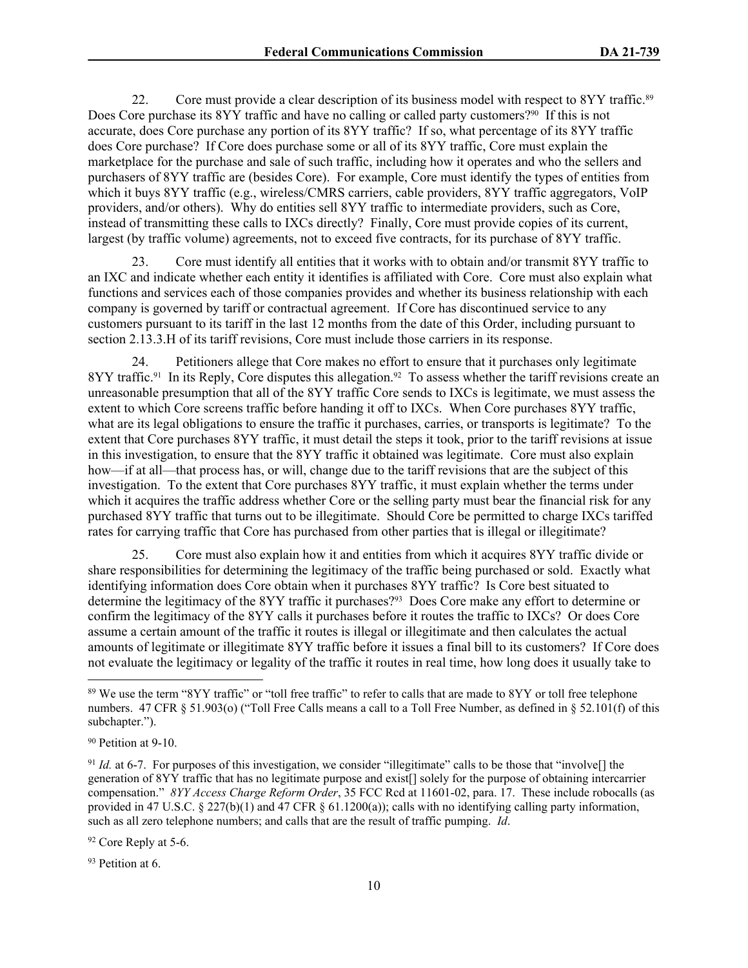22. Core must provide a clear description of its business model with respect to 8YY traffic.<sup>89</sup> Does Core purchase its 8YY traffic and have no calling or called party customers?<sup>90</sup> If this is not accurate, does Core purchase any portion of its 8YY traffic? If so, what percentage of its 8YY traffic does Core purchase? If Core does purchase some or all of its 8YY traffic, Core must explain the marketplace for the purchase and sale of such traffic, including how it operates and who the sellers and purchasers of 8YY traffic are (besides Core). For example, Core must identify the types of entities from which it buys 8YY traffic (e.g., wireless/CMRS carriers, cable providers, 8YY traffic aggregators, VoIP providers, and/or others). Why do entities sell 8YY traffic to intermediate providers, such as Core, instead of transmitting these calls to IXCs directly? Finally, Core must provide copies of its current, largest (by traffic volume) agreements, not to exceed five contracts, for its purchase of 8YY traffic.

23. Core must identify all entities that it works with to obtain and/or transmit 8YY traffic to an IXC and indicate whether each entity it identifies is affiliated with Core. Core must also explain what functions and services each of those companies provides and whether its business relationship with each company is governed by tariff or contractual agreement. If Core has discontinued service to any customers pursuant to its tariff in the last 12 months from the date of this Order, including pursuant to section 2.13.3.H of its tariff revisions, Core must include those carriers in its response.

24. Petitioners allege that Core makes no effort to ensure that it purchases only legitimate 8YY traffic.<sup>91</sup> In its Reply, Core disputes this allegation.<sup>92</sup> To assess whether the tariff revisions create an unreasonable presumption that all of the 8YY traffic Core sends to IXCs is legitimate, we must assess the extent to which Core screens traffic before handing it off to IXCs. When Core purchases 8YY traffic, what are its legal obligations to ensure the traffic it purchases, carries, or transports is legitimate? To the extent that Core purchases 8YY traffic, it must detail the steps it took, prior to the tariff revisions at issue in this investigation, to ensure that the 8YY traffic it obtained was legitimate. Core must also explain how—if at all—that process has, or will, change due to the tariff revisions that are the subject of this investigation. To the extent that Core purchases 8YY traffic, it must explain whether the terms under which it acquires the traffic address whether Core or the selling party must bear the financial risk for any purchased 8YY traffic that turns out to be illegitimate. Should Core be permitted to charge IXCs tariffed rates for carrying traffic that Core has purchased from other parties that is illegal or illegitimate?

25. Core must also explain how it and entities from which it acquires 8YY traffic divide or share responsibilities for determining the legitimacy of the traffic being purchased or sold. Exactly what identifying information does Core obtain when it purchases 8YY traffic? Is Core best situated to determine the legitimacy of the 8YY traffic it purchases?93 Does Core make any effort to determine or confirm the legitimacy of the 8YY calls it purchases before it routes the traffic to IXCs? Or does Core assume a certain amount of the traffic it routes is illegal or illegitimate and then calculates the actual amounts of legitimate or illegitimate 8YY traffic before it issues a final bill to its customers? If Core does not evaluate the legitimacy or legality of the traffic it routes in real time, how long does it usually take to

<sup>92</sup> Core Reply at 5-6.

93 Petition at 6.

<sup>&</sup>lt;sup>89</sup> We use the term "8YY traffic" or "toll free traffic" to refer to calls that are made to 8YY or toll free telephone numbers. 47 CFR § 51.903(o) ("Toll Free Calls means a call to a Toll Free Number, as defined in § 52.101(f) of this subchapter.").

<sup>90</sup> Petition at 9-10.

<sup>91</sup> *Id.* at 6-7. For purposes of this investigation, we consider "illegitimate" calls to be those that "involve[] the generation of 8YY traffic that has no legitimate purpose and exist[] solely for the purpose of obtaining intercarrier compensation." *8YY Access Charge Reform Order*, 35 FCC Rcd at 11601-02, para. 17. These include robocalls (as provided in 47 U.S.C. § 227(b)(1) and 47 CFR § 61.1200(a)); calls with no identifying calling party information, such as all zero telephone numbers; and calls that are the result of traffic pumping. *Id*.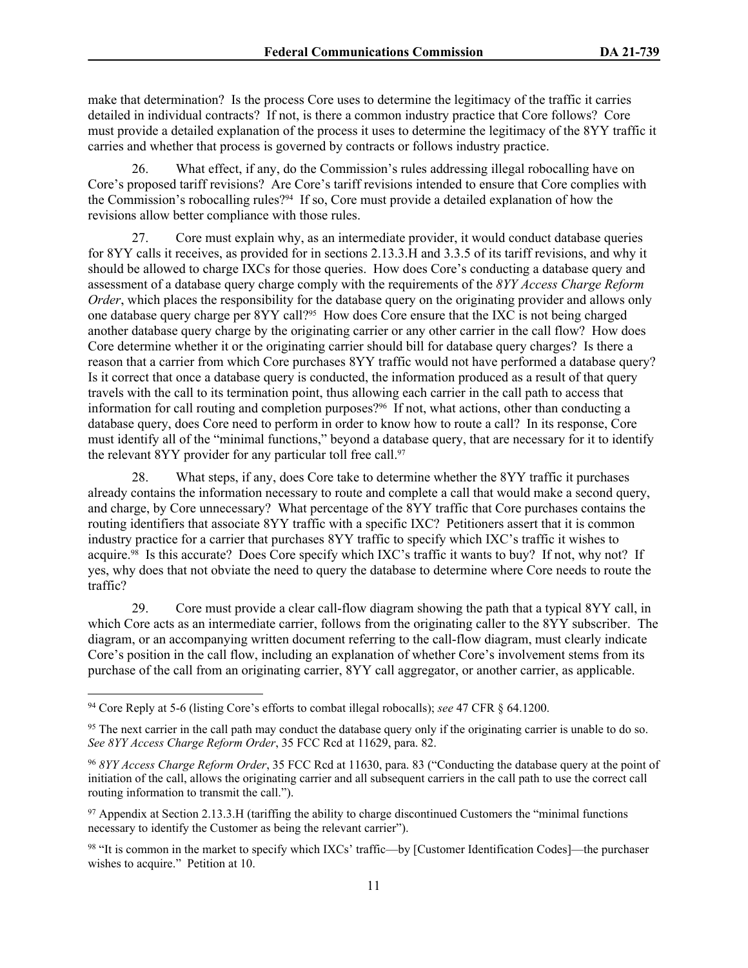make that determination? Is the process Core uses to determine the legitimacy of the traffic it carries detailed in individual contracts? If not, is there a common industry practice that Core follows? Core must provide a detailed explanation of the process it uses to determine the legitimacy of the 8YY traffic it carries and whether that process is governed by contracts or follows industry practice.

26. What effect, if any, do the Commission's rules addressing illegal robocalling have on Core's proposed tariff revisions? Are Core's tariff revisions intended to ensure that Core complies with the Commission's robocalling rules?94 If so, Core must provide a detailed explanation of how the revisions allow better compliance with those rules.

27. Core must explain why, as an intermediate provider, it would conduct database queries for 8YY calls it receives, as provided for in sections 2.13.3.H and 3.3.5 of its tariff revisions, and why it should be allowed to charge IXCs for those queries. How does Core's conducting a database query and assessment of a database query charge comply with the requirements of the *8YY Access Charge Reform Order*, which places the responsibility for the database query on the originating provider and allows only one database query charge per 8YY call?95 How does Core ensure that the IXC is not being charged another database query charge by the originating carrier or any other carrier in the call flow? How does Core determine whether it or the originating carrier should bill for database query charges? Is there a reason that a carrier from which Core purchases 8YY traffic would not have performed a database query? Is it correct that once a database query is conducted, the information produced as a result of that query travels with the call to its termination point, thus allowing each carrier in the call path to access that information for call routing and completion purposes?96 If not, what actions, other than conducting a database query, does Core need to perform in order to know how to route a call? In its response, Core must identify all of the "minimal functions," beyond a database query, that are necessary for it to identify the relevant 8YY provider for any particular toll free call.<sup>97</sup>

28. What steps, if any, does Core take to determine whether the 8YY traffic it purchases already contains the information necessary to route and complete a call that would make a second query, and charge, by Core unnecessary? What percentage of the 8YY traffic that Core purchases contains the routing identifiers that associate 8YY traffic with a specific IXC? Petitioners assert that it is common industry practice for a carrier that purchases 8YY traffic to specify which IXC's traffic it wishes to acquire.98 Is this accurate? Does Core specify which IXC's traffic it wants to buy? If not, why not? If yes, why does that not obviate the need to query the database to determine where Core needs to route the traffic?

29. Core must provide a clear call-flow diagram showing the path that a typical 8YY call, in which Core acts as an intermediate carrier, follows from the originating caller to the 8YY subscriber. The diagram, or an accompanying written document referring to the call-flow diagram, must clearly indicate Core's position in the call flow, including an explanation of whether Core's involvement stems from its purchase of the call from an originating carrier, 8YY call aggregator, or another carrier, as applicable.

<sup>94</sup> Core Reply at 5-6 (listing Core's efforts to combat illegal robocalls); *see* 47 CFR § 64.1200.

<sup>&</sup>lt;sup>95</sup> The next carrier in the call path may conduct the database query only if the originating carrier is unable to do so. *See 8YY Access Charge Reform Order*, 35 FCC Rcd at 11629, para. 82.

<sup>96</sup> *8YY Access Charge Reform Order*, 35 FCC Rcd at 11630, para. 83 ("Conducting the database query at the point of initiation of the call, allows the originating carrier and all subsequent carriers in the call path to use the correct call routing information to transmit the call.").

<sup>97</sup> Appendix at Section 2.13.3.H (tariffing the ability to charge discontinued Customers the "minimal functions necessary to identify the Customer as being the relevant carrier").

<sup>98</sup> "It is common in the market to specify which IXCs' traffic—by [Customer Identification Codes]—the purchaser wishes to acquire." Petition at 10.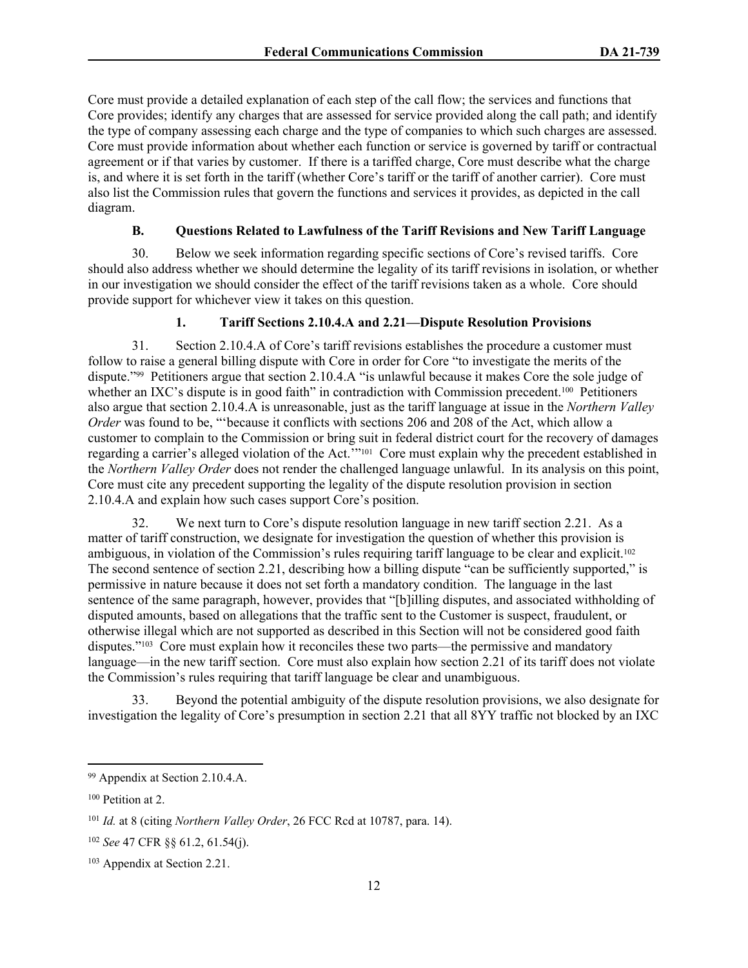Core must provide a detailed explanation of each step of the call flow; the services and functions that Core provides; identify any charges that are assessed for service provided along the call path; and identify the type of company assessing each charge and the type of companies to which such charges are assessed. Core must provide information about whether each function or service is governed by tariff or contractual agreement or if that varies by customer. If there is a tariffed charge, Core must describe what the charge is, and where it is set forth in the tariff (whether Core's tariff or the tariff of another carrier). Core must also list the Commission rules that govern the functions and services it provides, as depicted in the call diagram.

# **B. Questions Related to Lawfulness of the Tariff Revisions and New Tariff Language**

30. Below we seek information regarding specific sections of Core's revised tariffs. Core should also address whether we should determine the legality of its tariff revisions in isolation, or whether in our investigation we should consider the effect of the tariff revisions taken as a whole. Core should provide support for whichever view it takes on this question.

# **1. Tariff Sections 2.10.4.A and 2.21—Dispute Resolution Provisions**

31. Section 2.10.4.A of Core's tariff revisions establishes the procedure a customer must follow to raise a general billing dispute with Core in order for Core "to investigate the merits of the dispute."99 Petitioners argue that section 2.10.4.A "is unlawful because it makes Core the sole judge of whether an IXC's dispute is in good faith" in contradiction with Commission precedent.<sup>100</sup> Petitioners also argue that section 2.10.4.A is unreasonable, just as the tariff language at issue in the *Northern Valley Order* was found to be, ""because it conflicts with sections 206 and 208 of the Act, which allow a customer to complain to the Commission or bring suit in federal district court for the recovery of damages regarding a carrier's alleged violation of the Act.'"101 Core must explain why the precedent established in the *Northern Valley Order* does not render the challenged language unlawful. In its analysis on this point, Core must cite any precedent supporting the legality of the dispute resolution provision in section 2.10.4.A and explain how such cases support Core's position.

32. We next turn to Core's dispute resolution language in new tariff section 2.21. As a matter of tariff construction, we designate for investigation the question of whether this provision is ambiguous, in violation of the Commission's rules requiring tariff language to be clear and explicit.<sup>102</sup> The second sentence of section 2.21, describing how a billing dispute "can be sufficiently supported," is permissive in nature because it does not set forth a mandatory condition. The language in the last sentence of the same paragraph, however, provides that "[b]illing disputes, and associated withholding of disputed amounts, based on allegations that the traffic sent to the Customer is suspect, fraudulent, or otherwise illegal which are not supported as described in this Section will not be considered good faith disputes."103 Core must explain how it reconciles these two parts—the permissive and mandatory language—in the new tariff section. Core must also explain how section 2.21 of its tariff does not violate the Commission's rules requiring that tariff language be clear and unambiguous.

33. Beyond the potential ambiguity of the dispute resolution provisions, we also designate for investigation the legality of Core's presumption in section 2.21 that all 8YY traffic not blocked by an IXC

<sup>99</sup> Appendix at Section 2.10.4.A.

<sup>100</sup> Petition at 2.

<sup>101</sup> *Id.* at 8 (citing *Northern Valley Order*, 26 FCC Rcd at 10787, para. 14).

<sup>102</sup> *See* 47 CFR §§ 61.2, 61.54(j).

<sup>103</sup> Appendix at Section 2.21.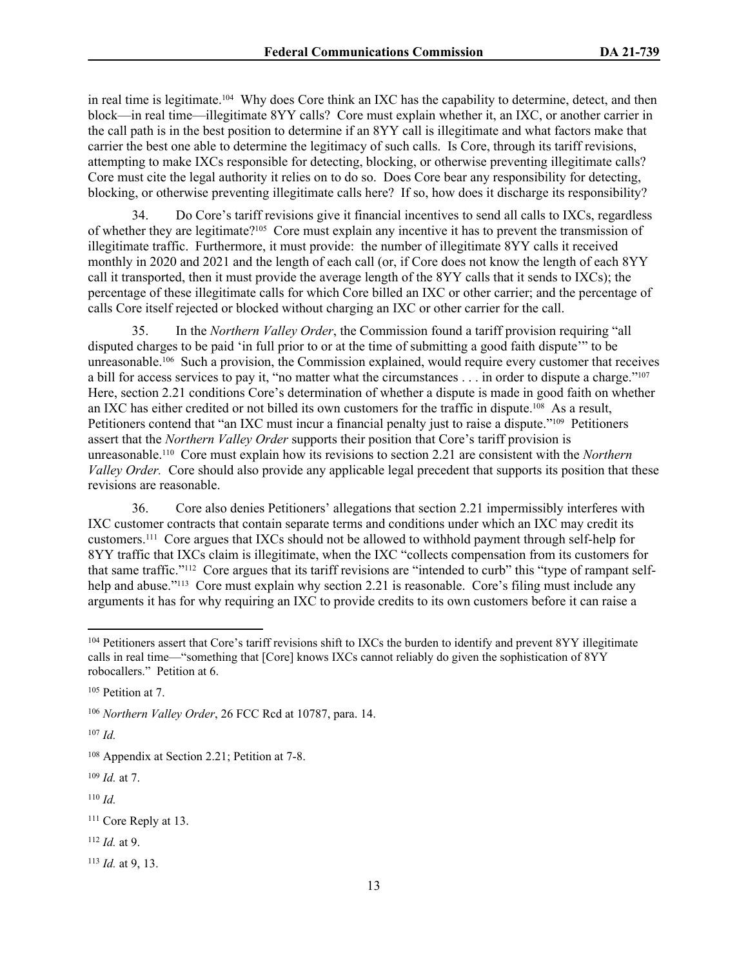in real time is legitimate.104 Why does Core think an IXC has the capability to determine, detect, and then block—in real time—illegitimate 8YY calls? Core must explain whether it, an IXC, or another carrier in the call path is in the best position to determine if an 8YY call is illegitimate and what factors make that carrier the best one able to determine the legitimacy of such calls. Is Core, through its tariff revisions, attempting to make IXCs responsible for detecting, blocking, or otherwise preventing illegitimate calls? Core must cite the legal authority it relies on to do so. Does Core bear any responsibility for detecting, blocking, or otherwise preventing illegitimate calls here? If so, how does it discharge its responsibility?

34. Do Core's tariff revisions give it financial incentives to send all calls to IXCs, regardless of whether they are legitimate?105 Core must explain any incentive it has to prevent the transmission of illegitimate traffic. Furthermore, it must provide: the number of illegitimate 8YY calls it received monthly in 2020 and 2021 and the length of each call (or, if Core does not know the length of each 8YY call it transported, then it must provide the average length of the 8YY calls that it sends to IXCs); the percentage of these illegitimate calls for which Core billed an IXC or other carrier; and the percentage of calls Core itself rejected or blocked without charging an IXC or other carrier for the call.

35. In the *Northern Valley Order*, the Commission found a tariff provision requiring "all disputed charges to be paid 'in full prior to or at the time of submitting a good faith dispute'" to be unreasonable.106 Such a provision, the Commission explained, would require every customer that receives a bill for access services to pay it, "no matter what the circumstances . . . in order to dispute a charge."<sup>107</sup> Here, section 2.21 conditions Core's determination of whether a dispute is made in good faith on whether an IXC has either credited or not billed its own customers for the traffic in dispute.108 As a result, Petitioners contend that "an IXC must incur a financial penalty just to raise a dispute."109 Petitioners assert that the *Northern Valley Order* supports their position that Core's tariff provision is unreasonable.110 Core must explain how its revisions to section 2.21 are consistent with the *Northern Valley Order.* Core should also provide any applicable legal precedent that supports its position that these revisions are reasonable.

36. Core also denies Petitioners' allegations that section 2.21 impermissibly interferes with IXC customer contracts that contain separate terms and conditions under which an IXC may credit its customers.111 Core argues that IXCs should not be allowed to withhold payment through self-help for 8YY traffic that IXCs claim is illegitimate, when the IXC "collects compensation from its customers for that same traffic."112 Core argues that its tariff revisions are "intended to curb" this "type of rampant selfhelp and abuse."<sup>113</sup> Core must explain why section 2.21 is reasonable. Core's filing must include any arguments it has for why requiring an IXC to provide credits to its own customers before it can raise a

<sup>107</sup> *Id.*

<sup>109</sup> *Id.* at 7.

<sup>110</sup> *Id.*

<sup>112</sup> *Id.* at 9.

<sup>113</sup> *Id.* at 9, 13.

<sup>&</sup>lt;sup>104</sup> Petitioners assert that Core's tariff revisions shift to IXCs the burden to identify and prevent 8YY illegitimate calls in real time—"something that [Core] knows IXCs cannot reliably do given the sophistication of 8YY robocallers." Petition at 6.

<sup>105</sup> Petition at 7.

<sup>106</sup> *Northern Valley Order*, 26 FCC Rcd at 10787, para. 14.

<sup>108</sup> Appendix at Section 2.21; Petition at 7-8.

<sup>111</sup> Core Reply at 13.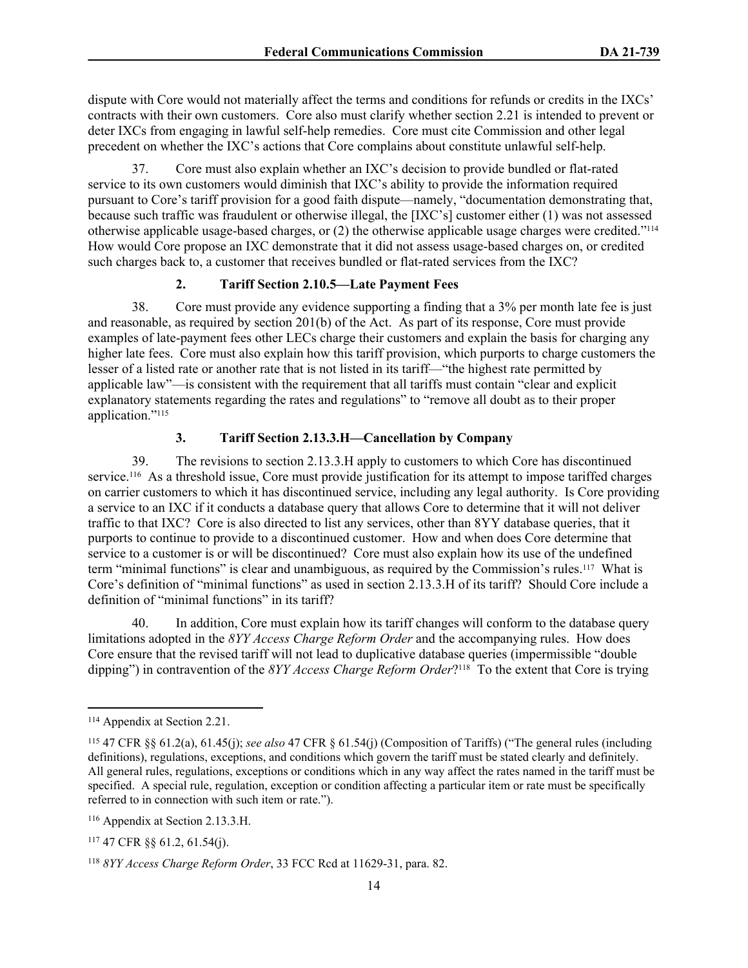dispute with Core would not materially affect the terms and conditions for refunds or credits in the IXCs' contracts with their own customers. Core also must clarify whether section 2.21 is intended to prevent or deter IXCs from engaging in lawful self-help remedies. Core must cite Commission and other legal precedent on whether the IXC's actions that Core complains about constitute unlawful self-help.

37. Core must also explain whether an IXC's decision to provide bundled or flat-rated service to its own customers would diminish that IXC's ability to provide the information required pursuant to Core's tariff provision for a good faith dispute—namely, "documentation demonstrating that, because such traffic was fraudulent or otherwise illegal, the [IXC's] customer either (1) was not assessed otherwise applicable usage-based charges, or (2) the otherwise applicable usage charges were credited."<sup>114</sup> How would Core propose an IXC demonstrate that it did not assess usage-based charges on, or credited such charges back to, a customer that receives bundled or flat-rated services from the IXC?

# **2. Tariff Section 2.10.5—Late Payment Fees**

38. Core must provide any evidence supporting a finding that a 3% per month late fee is just and reasonable, as required by section 201(b) of the Act. As part of its response, Core must provide examples of late-payment fees other LECs charge their customers and explain the basis for charging any higher late fees. Core must also explain how this tariff provision, which purports to charge customers the lesser of a listed rate or another rate that is not listed in its tariff—"the highest rate permitted by applicable law"—is consistent with the requirement that all tariffs must contain "clear and explicit explanatory statements regarding the rates and regulations" to "remove all doubt as to their proper application."<sup>115</sup>

# **3. Tariff Section 2.13.3.H—Cancellation by Company**

39. The revisions to section 2.13.3.H apply to customers to which Core has discontinued service.116 As a threshold issue, Core must provide justification for its attempt to impose tariffed charges on carrier customers to which it has discontinued service, including any legal authority. Is Core providing a service to an IXC if it conducts a database query that allows Core to determine that it will not deliver traffic to that IXC? Core is also directed to list any services, other than 8YY database queries, that it purports to continue to provide to a discontinued customer. How and when does Core determine that service to a customer is or will be discontinued? Core must also explain how its use of the undefined term "minimal functions" is clear and unambiguous, as required by the Commission's rules.117 What is Core's definition of "minimal functions" as used in section 2.13.3.H of its tariff? Should Core include a definition of "minimal functions" in its tariff?

40. In addition, Core must explain how its tariff changes will conform to the database query limitations adopted in the *8YY Access Charge Reform Order* and the accompanying rules. How does Core ensure that the revised tariff will not lead to duplicative database queries (impermissible "double dipping") in contravention of the *8YY Access Charge Reform Order*? <sup>118</sup> To the extent that Core is trying

<sup>114</sup> Appendix at Section 2.21.

<sup>115</sup> 47 CFR §§ 61.2(a), 61.45(j); *see also* 47 CFR § 61.54(j) (Composition of Tariffs) ("The general rules (including definitions), regulations, exceptions, and conditions which govern the [tariff](https://www.law.cornell.edu/definitions/index.php?width=840&height=800&iframe=true&def_id=34f55a75ce64a1f8ecbef276793baba0&term_occur=999&term_src=Title:47:Chapter:I:Subchapter:B:Part:61:Subpart:F:61.54) must be [stated](https://www.law.cornell.edu/definitions/index.php?width=840&height=800&iframe=true&def_id=974fe48061e86e76cd884bfb06a1dca5&term_occur=999&term_src=Title:47:Chapter:I:Subchapter:B:Part:61:Subpart:F:61.54) clearly and definitely. All general rules, regulations, exceptions or conditions which in any way affect the [rates](https://www.law.cornell.edu/definitions/index.php?width=840&height=800&iframe=true&def_id=bb09e4866f205196a894c8c039d37bca&term_occur=999&term_src=Title:47:Chapter:I:Subchapter:B:Part:61:Subpart:F:61.54) named in the [tariff](https://www.law.cornell.edu/definitions/index.php?width=840&height=800&iframe=true&def_id=34f55a75ce64a1f8ecbef276793baba0&term_occur=999&term_src=Title:47:Chapter:I:Subchapter:B:Part:61:Subpart:F:61.54) must be specified. A special rule, regulation, exception or condition affecting a particular item or [rate](https://www.law.cornell.edu/definitions/index.php?width=840&height=800&iframe=true&def_id=bb09e4866f205196a894c8c039d37bca&term_occur=999&term_src=Title:47:Chapter:I:Subchapter:B:Part:61:Subpart:F:61.54) must be specifically referred to in connection with such item or rate.").

<sup>116</sup> Appendix at Section 2.13.3.H.

<sup>117</sup> 47 CFR §§ 61.2, 61.54(j).

<sup>118</sup> *8YY Access Charge Reform Order*, 33 FCC Rcd at 11629-31, para. 82.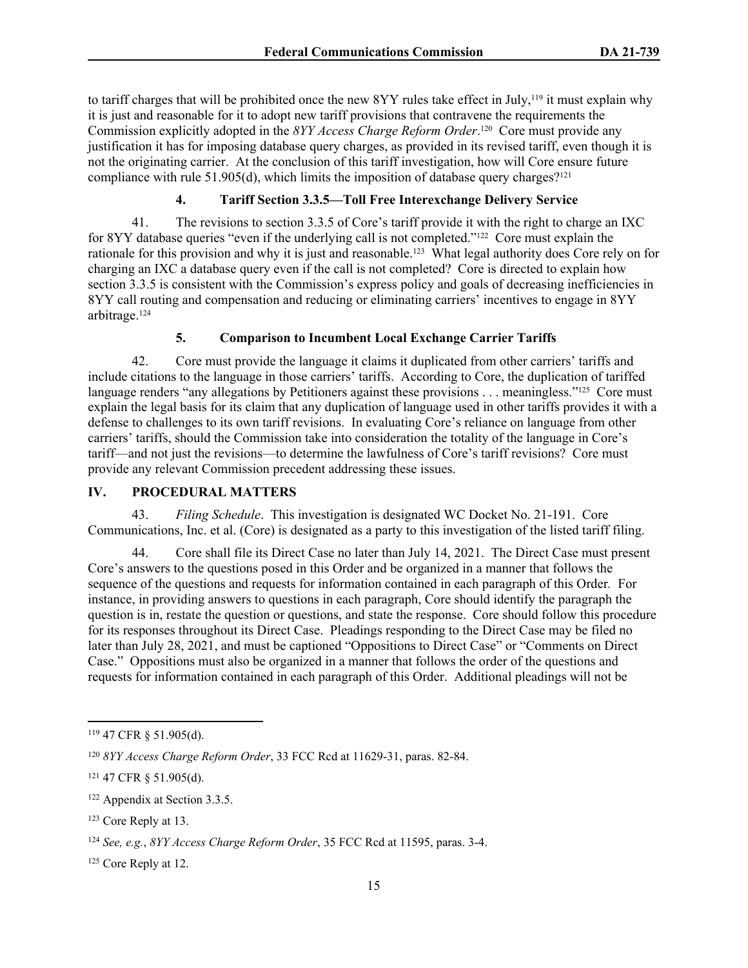to tariff charges that will be prohibited once the new 8YY rules take effect in July,119 it must explain why it is just and reasonable for it to adopt new tariff provisions that contravene the requirements the Commission explicitly adopted in the *8YY Access Charge Reform Order*. <sup>120</sup> Core must provide any justification it has for imposing database query charges, as provided in its revised tariff, even though it is not the originating carrier. At the conclusion of this tariff investigation, how will Core ensure future compliance with rule 51.905(d), which limits the imposition of database query charges?<sup>121</sup>

# **4. Tariff Section 3.3.5—Toll Free Interexchange Delivery Service**

41. The revisions to section 3.3.5 of Core's tariff provide it with the right to charge an IXC for 8YY database queries "even if the underlying call is not completed."<sup>122</sup> Core must explain the rationale for this provision and why it is just and reasonable.123 What legal authority does Core rely on for charging an IXC a database query even if the call is not completed? Core is directed to explain how section 3.3.5 is consistent with the Commission's express policy and goals of decreasing inefficiencies in 8YY call routing and compensation and reducing or eliminating carriers' incentives to engage in 8YY arbitrage.<sup>124</sup>

## **5. Comparison to Incumbent Local Exchange Carrier Tariffs**

42. Core must provide the language it claims it duplicated from other carriers' tariffs and include citations to the language in those carriers' tariffs. According to Core, the duplication of tariffed language renders "any allegations by Petitioners against these provisions . . . meaningless."<sup>125</sup> Core must explain the legal basis for its claim that any duplication of language used in other tariffs provides it with a defense to challenges to its own tariff revisions. In evaluating Core's reliance on language from other carriers' tariffs, should the Commission take into consideration the totality of the language in Core's tariff—and not just the revisions—to determine the lawfulness of Core's tariff revisions? Core must provide any relevant Commission precedent addressing these issues.

## **IV. PROCEDURAL MATTERS**

43. *Filing Schedule*. This investigation is designated WC Docket No. 21-191. Core Communications, Inc. et al. (Core) is designated as a party to this investigation of the listed tariff filing.

44. Core shall file its Direct Case no later than July 14, 2021. The Direct Case must present Core's answers to the questions posed in this Order and be organized in a manner that follows the sequence of the questions and requests for information contained in each paragraph of this Order*.* For instance, in providing answers to questions in each paragraph, Core should identify the paragraph the question is in, restate the question or questions, and state the response. Core should follow this procedure for its responses throughout its Direct Case. Pleadings responding to the Direct Case may be filed no later than July 28, 2021, and must be captioned "Oppositions to Direct Case" or "Comments on Direct Case." Oppositions must also be organized in a manner that follows the order of the questions and requests for information contained in each paragraph of this Order. Additional pleadings will not be

<sup>119</sup> 47 CFR § 51.905(d).

<sup>120</sup> *8YY Access Charge Reform Order*, 33 FCC Rcd at 11629-31, paras. 82-84.

<sup>121</sup> 47 CFR § 51.905(d).

<sup>122</sup> Appendix at Section 3.3.5.

<sup>123</sup> Core Reply at 13.

<sup>124</sup> *See, e.g.*, *8YY Access Charge Reform Order*, 35 FCC Rcd at 11595, paras. 3-4.

<sup>125</sup> Core Reply at 12.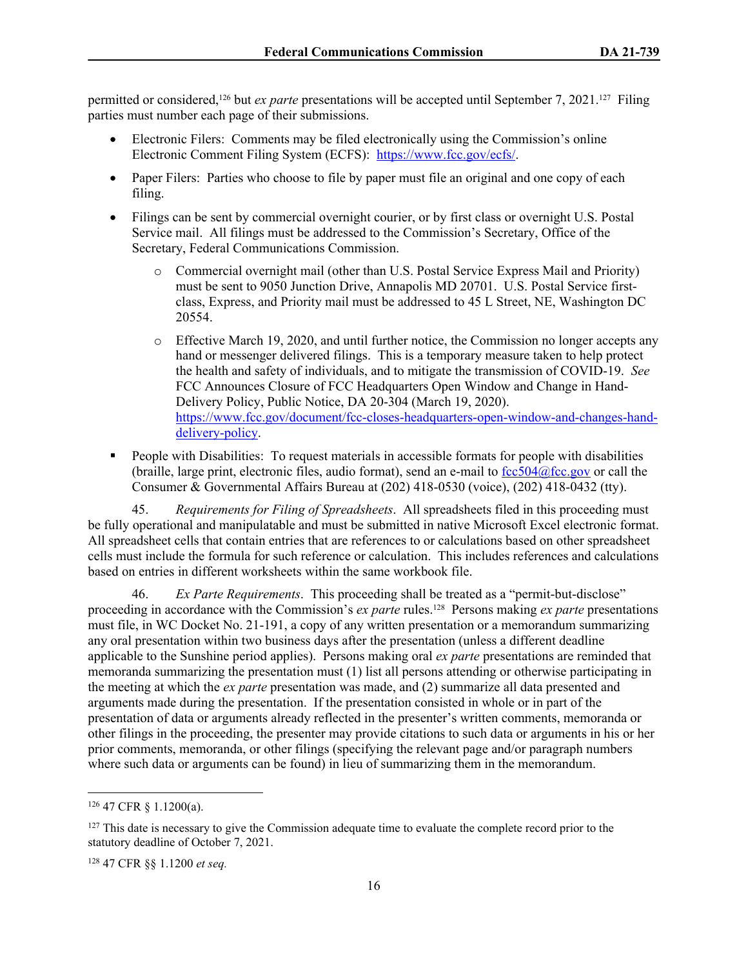permitted or considered,126 but *ex parte* presentations will be accepted until September 7, 2021.127 Filing parties must number each page of their submissions.

- Electronic Filers: Comments may be filed electronically using the Commission's online Electronic Comment Filing System (ECFS): <https://www.fcc.gov/ecfs/>.
- Paper Filers: Parties who choose to file by paper must file an original and one copy of each filing.
- Filings can be sent by commercial overnight courier, or by first class or overnight U.S. Postal Service mail. All filings must be addressed to the Commission's Secretary, Office of the Secretary, Federal Communications Commission.
	- o Commercial overnight mail (other than U.S. Postal Service Express Mail and Priority) must be sent to 9050 Junction Drive, Annapolis MD 20701. U.S. Postal Service firstclass, Express, and Priority mail must be addressed to 45 L Street, NE, Washington DC 20554.
	- o Effective March 19, 2020, and until further notice, the Commission no longer accepts any hand or messenger delivered filings. This is a temporary measure taken to help protect the health and safety of individuals, and to mitigate the transmission of COVID-19. *See* FCC Announces Closure of FCC Headquarters Open Window and Change in Hand-Delivery Policy, Public Notice, DA 20-304 (March 19, 2020). [https://www.fcc.gov/document/fcc-closes-headquarters-open-window-and-changes-hand](https://www.fcc.gov/document/fcc-closes-headquarters-open-window-and-changes-hand-delivery-policy)[delivery-policy](https://www.fcc.gov/document/fcc-closes-headquarters-open-window-and-changes-hand-delivery-policy).
- **People with Disabilities:** To request materials in accessible formats for people with disabilities (braille, large print, electronic files, audio format), send an e-mail to  $fcc504@$ fcc.gov or call the Consumer & Governmental Affairs Bureau at (202) 418-0530 (voice), (202) 418-0432 (tty).

45. *Requirements for Filing of Spreadsheets*. All spreadsheets filed in this proceeding must be fully operational and manipulatable and must be submitted in native Microsoft Excel electronic format. All spreadsheet cells that contain entries that are references to or calculations based on other spreadsheet cells must include the formula for such reference or calculation. This includes references and calculations based on entries in different worksheets within the same workbook file.

46. *Ex Parte Requirements*. This proceeding shall be treated as a "permit-but-disclose" proceeding in accordance with the Commission's *ex parte* rules.128 Persons making *ex parte* presentations must file, in WC Docket No. 21-191, a copy of any written presentation or a memorandum summarizing any oral presentation within two business days after the presentation (unless a different deadline applicable to the Sunshine period applies). Persons making oral *ex parte* presentations are reminded that memoranda summarizing the presentation must (1) list all persons attending or otherwise participating in the meeting at which the *ex parte* presentation was made, and (2) summarize all data presented and arguments made during the presentation. If the presentation consisted in whole or in part of the presentation of data or arguments already reflected in the presenter's written comments, memoranda or other filings in the proceeding, the presenter may provide citations to such data or arguments in his or her prior comments, memoranda, or other filings (specifying the relevant page and/or paragraph numbers where such data or arguments can be found) in lieu of summarizing them in the memorandum.

<sup>126</sup> 47 CFR § 1.1200(a).

<sup>&</sup>lt;sup>127</sup> This date is necessary to give the Commission adequate time to evaluate the complete record prior to the statutory deadline of October 7, 2021.

<sup>128</sup> 47 CFR §§ 1.1200 *et seq.*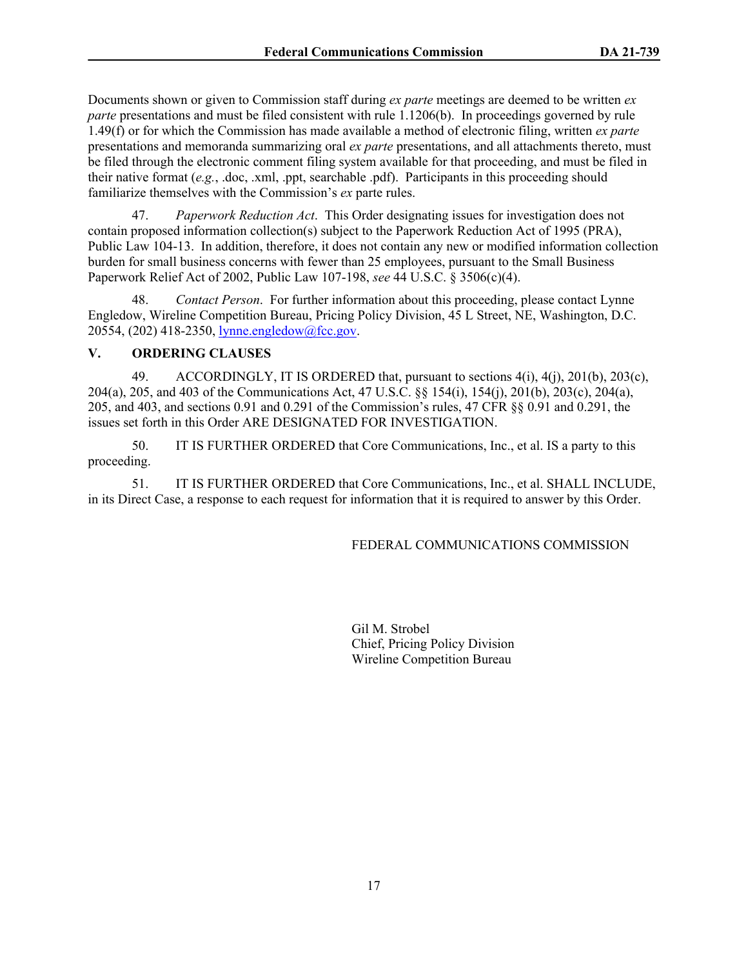Documents shown or given to Commission staff during *ex parte* meetings are deemed to be written *ex parte* presentations and must be filed consistent with rule 1.1206(b). In proceedings governed by rule 1.49(f) or for which the Commission has made available a method of electronic filing, written *ex parte*  presentations and memoranda summarizing oral *ex parte* presentations, and all attachments thereto, must be filed through the electronic comment filing system available for that proceeding, and must be filed in their native format (*e.g.*, .doc, .xml, .ppt, searchable .pdf). Participants in this proceeding should familiarize themselves with the Commission's *ex* parte rules.

47. *Paperwork Reduction Act*. This Order designating issues for investigation does not contain proposed information collection(s) subject to the Paperwork Reduction Act of 1995 (PRA), Public Law 104-13. In addition, therefore, it does not contain any new or modified information collection burden for small business concerns with fewer than 25 employees, pursuant to the Small Business Paperwork Relief Act of 2002, Public Law 107-198, *see* 44 U.S.C. § 3506(c)(4).

48. *Contact Person*. For further information about this proceeding, please contact Lynne Engledow, Wireline Competition Bureau, Pricing Policy Division, 45 L Street, NE, Washington, D.C. 20554, (202) 418-2350, [lynne.engledow@fcc.gov](mailto:lynne.engledow@fcc.gov).

## **V. ORDERING CLAUSES**

49. ACCORDINGLY, IT IS ORDERED that, pursuant to sections 4(i), 4(j), 201(b), 203(c), 204(a), 205, and 403 of the Communications Act, 47 U.S.C. §§ 154(i), 154(j), 201(b), 203(c), 204(a), 205, and 403, and sections 0.91 and 0.291 of the Commission's rules, 47 CFR §§ 0.91 and 0.291, the issues set forth in this Order ARE DESIGNATED FOR INVESTIGATION.

50. IT IS FURTHER ORDERED that Core Communications, Inc., et al. IS a party to this proceeding.

51. IT IS FURTHER ORDERED that Core Communications, Inc., et al. SHALL INCLUDE, in its Direct Case, a response to each request for information that it is required to answer by this Order.

## FEDERAL COMMUNICATIONS COMMISSION

Gil M. Strobel Chief, Pricing Policy Division Wireline Competition Bureau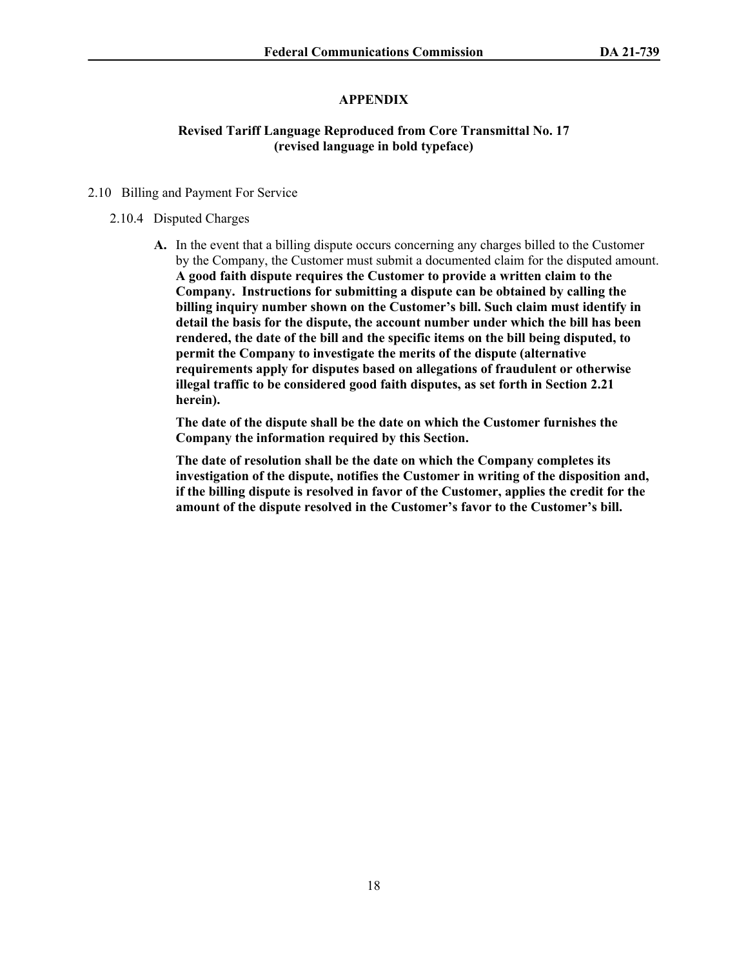## **APPENDIX**

## **Revised Tariff Language Reproduced from Core Transmittal No. 17 (revised language in bold typeface)**

#### 2.10 Billing and Payment For Service

#### 2.10.4 Disputed Charges

**A.** In the event that a billing dispute occurs concerning any charges billed to the Customer by the Company, the Customer must submit a documented claim for the disputed amount. **A good faith dispute requires the Customer to provide a written claim to the Company. Instructions for submitting a dispute can be obtained by calling the billing inquiry number shown on the Customer's bill. Such claim must identify in detail the basis for the dispute, the account number under which the bill has been rendered, the date of the bill and the specific items on the bill being disputed, to permit the Company to investigate the merits of the dispute (alternative requirements apply for disputes based on allegations of fraudulent or otherwise illegal traffic to be considered good faith disputes, as set forth in Section 2.21 herein).** 

**The date of the dispute shall be the date on which the Customer furnishes the Company the information required by this Section.** 

**The date of resolution shall be the date on which the Company completes its investigation of the dispute, notifies the Customer in writing of the disposition and, if the billing dispute is resolved in favor of the Customer, applies the credit for the amount of the dispute resolved in the Customer's favor to the Customer's bill.**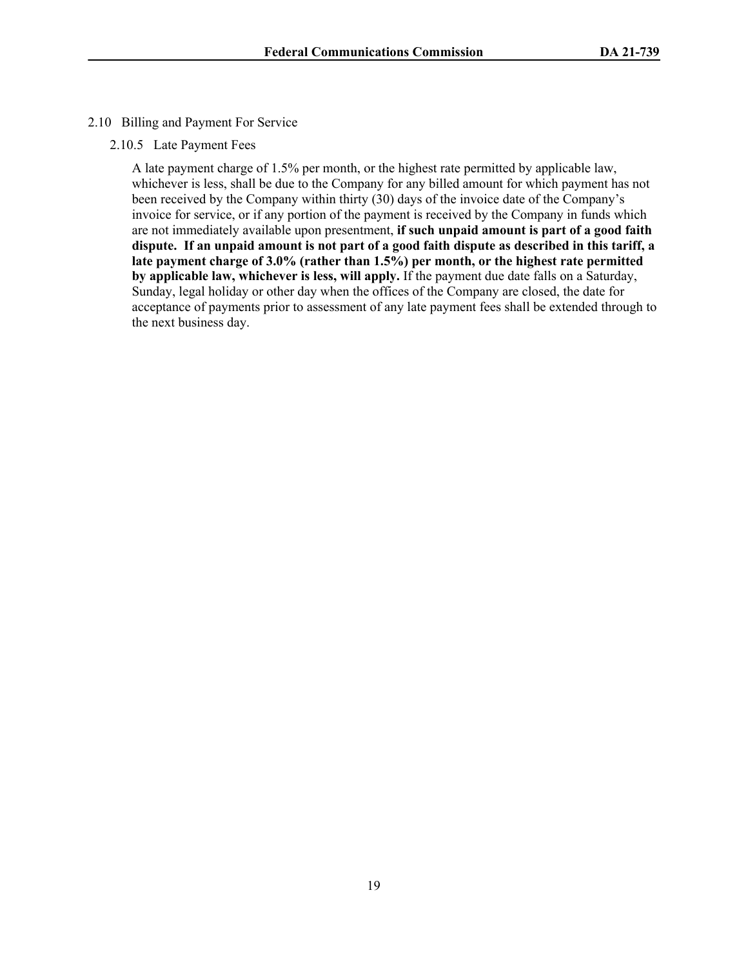- 2.10 Billing and Payment For Service
	- 2.10.5 Late Payment Fees

A late payment charge of 1.5% per month, or the highest rate permitted by applicable law, whichever is less, shall be due to the Company for any billed amount for which payment has not been received by the Company within thirty (30) days of the invoice date of the Company's invoice for service, or if any portion of the payment is received by the Company in funds which are not immediately available upon presentment, **if such unpaid amount is part of a good faith dispute. If an unpaid amount is not part of a good faith dispute as described in this tariff, a late payment charge of 3.0% (rather than 1.5%) per month, or the highest rate permitted by applicable law, whichever is less, will apply.** If the payment due date falls on a Saturday, Sunday, legal holiday or other day when the offices of the Company are closed, the date for acceptance of payments prior to assessment of any late payment fees shall be extended through to the next business day.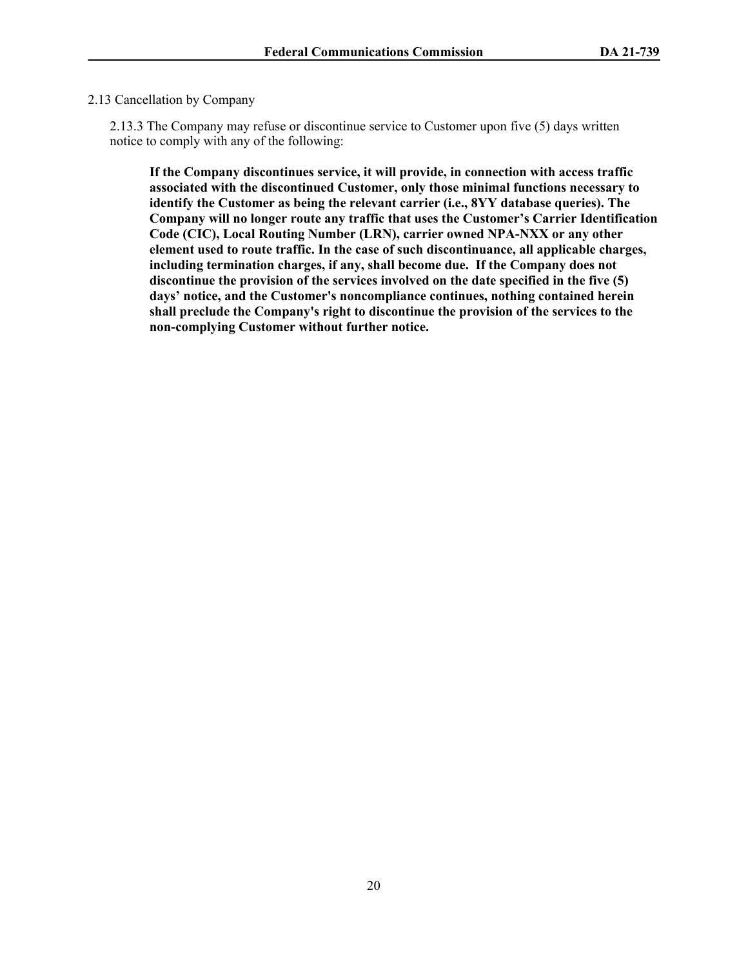#### 2.13 Cancellation by Company

2.13.3 The Company may refuse or discontinue service to Customer upon five (5) days written notice to comply with any of the following:

**If the Company discontinues service, it will provide, in connection with access traffic associated with the discontinued Customer, only those minimal functions necessary to identify the Customer as being the relevant carrier (i.e., 8YY database queries). The Company will no longer route any traffic that uses the Customer's Carrier Identification Code (CIC), Local Routing Number (LRN), carrier owned NPA-NXX or any other element used to route traffic. In the case of such discontinuance, all applicable charges, including termination charges, if any, shall become due. If the Company does not discontinue the provision of the services involved on the date specified in the five (5) days' notice, and the Customer's noncompliance continues, nothing contained herein shall preclude the Company's right to discontinue the provision of the services to the non-complying Customer without further notice.**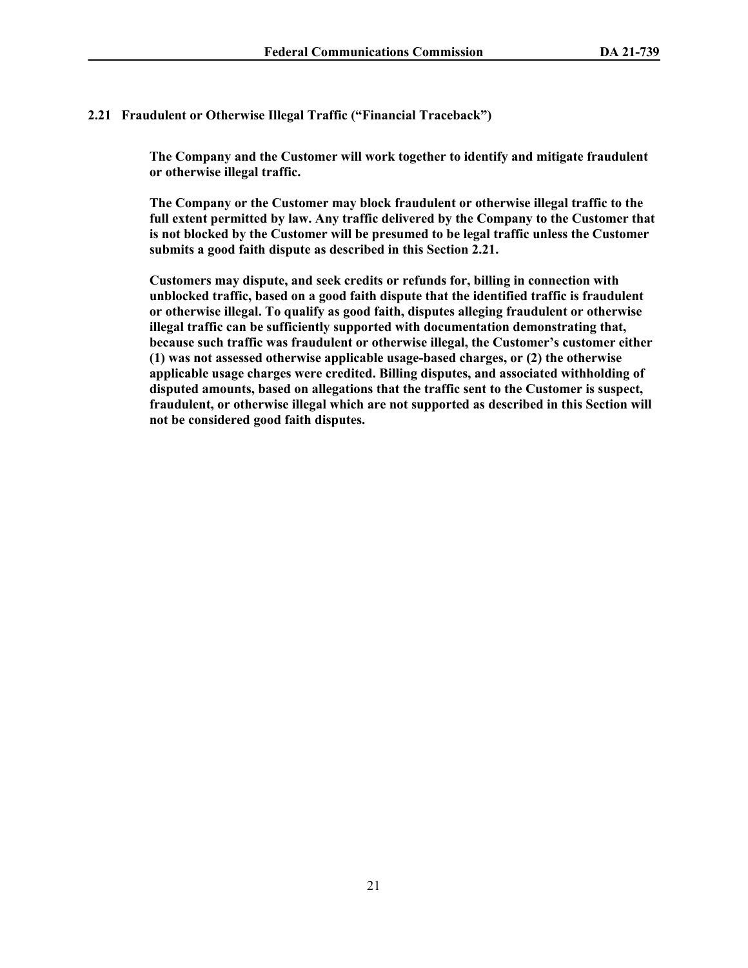# **2.21 Fraudulent or Otherwise Illegal Traffic ("Financial Traceback")**

**The Company and the Customer will work together to identify and mitigate fraudulent or otherwise illegal traffic.**

**The Company or the Customer may block fraudulent or otherwise illegal traffic to the full extent permitted by law. Any traffic delivered by the Company to the Customer that is not blocked by the Customer will be presumed to be legal traffic unless the Customer submits a good faith dispute as described in this Section 2.21.**

**Customers may dispute, and seek credits or refunds for, billing in connection with unblocked traffic, based on a good faith dispute that the identified traffic is fraudulent or otherwise illegal. To qualify as good faith, disputes alleging fraudulent or otherwise illegal traffic can be sufficiently supported with documentation demonstrating that, because such traffic was fraudulent or otherwise illegal, the Customer's customer either (1) was not assessed otherwise applicable usage-based charges, or (2) the otherwise applicable usage charges were credited. Billing disputes, and associated withholding of disputed amounts, based on allegations that the traffic sent to the Customer is suspect, fraudulent, or otherwise illegal which are not supported as described in this Section will not be considered good faith disputes.**